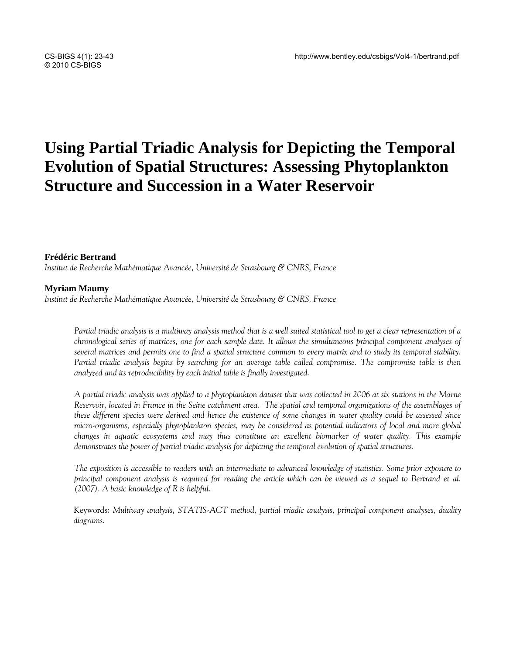# **Using Partial Triadic Analysis for Depicting the Temporal Evolution of Spatial Structures: Assessing Phytoplankton Structure and Succession in a Water Reservoir**

### **Frédéric Bertrand**

*Institut de Recherche Mathématique Avancée, Université de Strasbourg & CNRS, France* 

#### **Myriam Maumy**

*Institut de Recherche Mathématique Avancée, Université de Strasbourg & CNRS, France* 

*Partial triadic analysis is a multiway analysis method that is a well suited statistical tool to get a clear representation of a chronological series of matrices, one for each sample date. It allows the simultaneous principal component analyses of several matrices and permits one to find a spatial structure common to every matrix and to study its temporal stability. Partial triadic analysis begins by searching for an average table called compromise. The compromise table is then analyzed and its reproducibility by each initial table is finally investigated.* 

*A partial triadic analysis was applied to a phytoplankton dataset that was collected in 2006 at six stations in the Marne*  Reservoir, located in France in the Seine catchment area. The spatial and temporal organizations of the assemblages of *these different species were derived and hence the existence of some changes in water quality could be assessed since micro-organisms, especially phytoplankton species, may be considered as potential indicators of local and more global changes in aquatic ecosystems and may thus constitute an excellent biomarker of water quality. This example demonstrates the power of partial triadic analysis for depicting the temporal evolution of spatial structures.* 

*The exposition is accessible to readers with an intermediate to advanced knowledge of statistics. Some prior exposure to principal component analysis is required for reading the article which can be viewed as a sequel to Bertrand et al. (2007). A basic knowledge of R is helpful.* 

Keywords: *Multiway analysis, STATIS-ACT method, partial triadic analysis, principal component analyses, duality diagrams.*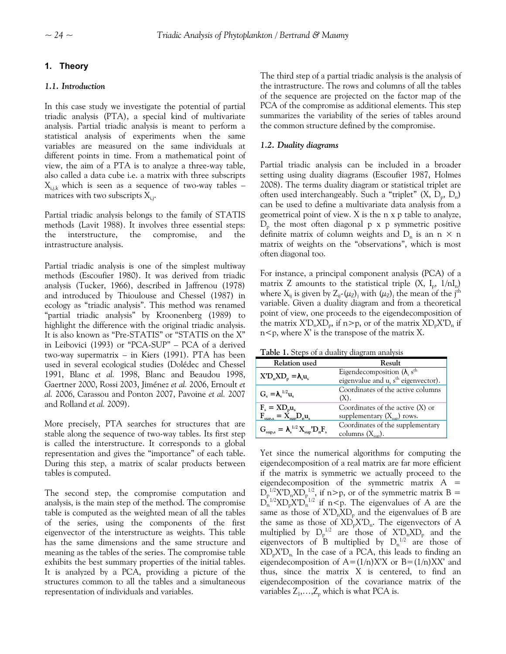# **1. Theory**

# *1.1. Introduction*

In this case study we investigate the potential of partial triadic analysis (PTA), a special kind of multivariate analysis. Partial triadic analysis is meant to perform a statistical analysis of experiments when the same variables are measured on the same individuals at different points in time. From a mathematical point of view, the aim of a PTA is to analyze a three-way table, also called a data cube i.e. a matrix with three subscripts  $X_{i,j,k}$  which is seen as a sequence of two-way tables – matrices with two subscripts  $X_{i,j}$ .

Partial triadic analysis belongs to the family of STATIS methods (Lavit 1988). It involves three essential steps: the interstructure, the compromise, and the intrastructure analysis.

Partial triadic analysis is one of the simplest multiway methods (Escoufier 1980). It was derived from triadic analysis (Tucker, 1966), described in Jaffrenou (1978) and introduced by Thioulouse and Chessel (1987) in ecology as "triadic analysis". This method was renamed "partial triadic analysis" by Kroonenberg (1989) to highlight the difference with the original triadic analysis. It is also known as "Pre-STATIS" or "STATIS on the X" in Leibovici (1993) or "PCA-SUP" – PCA of a derived two-way supermatrix – in Kiers (1991). PTA has been used in several ecological studies (Dolédec and Chessel 1991, Blanc *et al.* 1998, Blanc and Beaudou 1998, Gaertner 2000, Rossi 2003, Jiménez *et al.* 2006, Ernoult *et al.* 2006, Carassou and Ponton 2007, Pavoine *et al.* 2007 and Rolland *et al.* 2009).

<span id="page-1-0"></span>More precisely, PTA searches for structures that are stable along the sequence of two-way tables. Its first step is called the interstructure. It corresponds to a global representation and gives the "importance" of each table. During this step, a matrix of scalar products between tables is computed.

The second step, the compromise computation and analysis, is the main step of the method. The compromise table is computed as the weighted mean of all the tables of the series, using the components of the first eigenvector of the interstructure as weights. This table has the same dimensions and the same structure and meaning as the tables of the series. The compromise table exhibits the best summary properties of the initial tables. It is analyzed by a PCA, providing a picture of the structures common to all the tables and a simultaneous representation of individuals and variables.

The third step of a partial triadic analysis is the analysis of the intrastructure. The rows and columns of all the tables of the sequence are projected on the factor map of the PCA of the compromise as additional elements. This step summarizes the variability of the series of tables around the common structure defined by the compromise.

# *1.2. Duality diagrams*

Partial triadic analysis can be included in a broader setting using duality diagrams (Escoufier 1987, Holmes 2008). The terms duality diagram or statistical triplet are often used interchangeably. Such a "triplet"  $(X, D_n, D_n)$ can be used to define a multivariate data analysis from a geometrical point of view. X is the n x p table to analyze,  $D_{p}$  the most often diagonal p x p symmetric positive definite matrix of column weights and  $D_n$  is an n  $\times$  n matrix of weights on the "observations", which is most often diagonal too.

For instance, a principal component analysis (PCA) of a matrix Z amounts to the statistical triple  $(X, I_n, 1/nI_n)$ where  $X_{ij}$  is given by  $Z_{ij}$ -( $\mu_Z$ )<sub>j</sub> with ( $\mu_Z$ )<sub>j</sub> the mean of the j<sup>th</sup> variable. Given a duality diagram and from a theoretical point of view, one proceeds to the eigendecomposition of the matrix  $X'D_nXD_p$ , if n>p, or of the matrix  $XD_pX'D_n$  if  $n < p$ , where X' is the transpose of the matrix X.

**Table 1.** Steps of a duality diagram analysis

| Relation used                                                                | Result                                                                                        |
|------------------------------------------------------------------------------|-----------------------------------------------------------------------------------------------|
| $X'D_nXD_p = \lambda_s u_s$                                                  | Eigendecomposition $(\lambda_s s^{th})$<br>eigenvalue and $u_s$ s <sup>th</sup> eigenvector). |
| $G_{\rm c} = \lambda_{\rm c}^{1/2} u_{\rm c}$                                | Coordinates of the active columns<br>$(X)$ .                                                  |
| $F_s = X D_p u_s$<br>$F_{\rm sup,s} = \dot{X}_{\rm sup} D_{\rm p} u_{\rm s}$ | Coordinates of the active $(X)$ or<br>supplementary $(X_{\text{sub}})$ rows.                  |
| $G_{\text{sup,s}} = \lambda_s^{1/2} X_{\text{sup}}' D_n F_s$                 | Coordinates of the supplementary<br>columns $(X_{\text{sun}})$ .                              |

Yet since the numerical algorithms for computing the eigendecomposition of a real matrix are far more efficient if the matrix is symmetric we actually proceed to the eigendecomposition of the symmetric matrix  $A =$  $D_p^{1/2}X'D_nXD_p^{1/2}$ , if n>p, or of the symmetric matrix B =  $D_n^{-1/2}X D_p X D_n^{-1/2}$  if n<p. The eigenvalues of A are the same as those of  $X'D<sub>n</sub>XD<sub>p</sub>$  and the eigenvalues of B are the same as those of  $XD_n^{\dagger}X'D_n$ . The eigenvectors of A multiplied by  $D_p^{1/2}$  are those of  $X'D_nXD_p$  and the eigenvectors of  $\overline{B}$  multiplied by  $D_n^{1/2}$  are those of  $XD_pX'D_n$ . In the case of a PCA, this leads to finding an eigendecomposition of  $A=(1/n)X'X$  or  $B=(1/n)XX'$  and thus, since the matrix X is centered, to find an eigendecomposition of the covariance matrix of the variables  $Z_1, \ldots, Z_p$  which is what PCA is.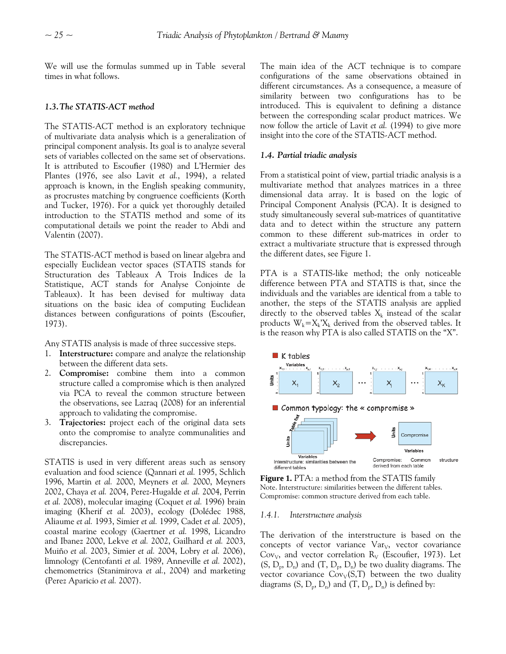We will use the formulas summed up in [Table](#page-1-0) several times in what follows.

#### *1.3.The STATIS-ACT method*

The STATIS-ACT method is an exploratory technique of multivariate data analysis which is a generalization of principal component analysis. Its goal is to analyze several sets of variables collected on the same set of observations. It is attributed to Escoufier (1980) and L'Hermier des Plantes (1976, see also Lavit *et al.*, 1994), a related approach is known, in the English speaking community, as procrustes matching by congruence coefficients (Korth and Tucker, 1976). For a quick yet thoroughly detailed introduction to the STATIS method and some of its computational details we point the reader to Abdi and Valentin (2007).

The STATIS-ACT method is based on linear algebra and especially Euclidean vector spaces (STATIS stands for Structuration des Tableaux A Trois Indices de la Statistique, ACT stands for Analyse Conjointe de Tableaux). It has been devised for multiway data situations on the basic idea of computing Euclidean distances between configurations of points (Escoufier, 1973).

Any STATIS analysis is made of three successive steps.

- 1. **Interstructure:** compare and analyze the relationship between the different data sets.
- 2. **Compromise:** combine them into a common structure called a compromise which is then analyzed via PCA to reveal the common structure between the observations, see Lazraq (2008) for an inferential approach to validating the compromise.
- 3. **Trajectories:** project each of the original data sets onto the compromise to analyze communalities and discrepancies.

STATIS is used in very different areas such as sensory evaluation and food science (Qannari *et al.* 1995, Schlich 1996, Martin *et al.* 2000, Meyners *et al.* 2000, Meyners 2002, Chaya *et al.* 2004, Perez-Hugalde *et al.* 2004, Perrin *et al.* 2008), molecular imaging (Coquet *et al.* 1996) brain imaging (Kherif *et al.* 2003), ecology (Dolédec 1988, Aliaume *et al.* 1993, Simier *et al.* 1999, Cadet *et al.* 2005), coastal marine ecology (Gaertner *et al.* 1998, Licandro and Ibanez 2000, Lekve *et al.* 2002, Gailhard *et al.* 2003, Muiño *et al.* 2003, Simier *et al.* 2004, Lobry *et al.* 2006), limnology (Centofanti *et al.* 1989, Anneville *et al.* 2002), chemometrics (Stanimirova *et al.*, 2004) and marketing (Perez Aparicio *et al.* 2007).

The main idea of the ACT technique is to compare configurations of the same observations obtained in different circumstances. As a consequence, a measure of similarity between two configurations has to be introduced. This is equivalent to defining a distance between the corresponding scalar product matrices. We now follow the article of Lavit *et al.* (1994) to give more insight into the core of the STATIS-ACT method.

#### *1.4. Partial triadic analysis*

From a statistical point of view, partial triadic analysis is a multivariate method that analyzes matrices in a three dimensional data array. It is based on the logic of Principal Component Analysis (PCA). It is designed to study simultaneously several sub-matrices of quantitative data and to detect within the structure any pattern common to these different sub-matrices in order to extract a multivariate structure that is expressed through the different dates, see Figure 1.

PTA is a STATIS-like method; the only noticeable difference between PTA and STATIS is that, since the individuals and the variables are identical from a table to another, the steps of the STATIS analysis are applied directly to the observed tables  $X_k$  instead of the scalar products  $W_k = X_k'X_k$  derived from the observed tables. It is the reason why PTA is also called STATIS on the "X".



**Figure 1.** PTA: a method from the STATIS family Note. Interstructure: similarities between the different tables. Compromise: common structure derived from each table.

#### *1.4.1. Interstructure analysis*

The derivation of the interstructure is based on the concepts of vector variance  $Var<sub>V</sub>$ , vector covariance Cov<sub>v</sub>, and vector correlation  $R_V$  (Escoufier, 1973). Let  $(S, D_p, D_n)$  and  $(T, D_p, D_n)$  be two duality diagrams. The vector covariance  $\text{Cov}_V(S, T)$  between the two duality diagrams  $(S, D_p, D_n)$  and  $(T, D_p, D_n)$  is defined by: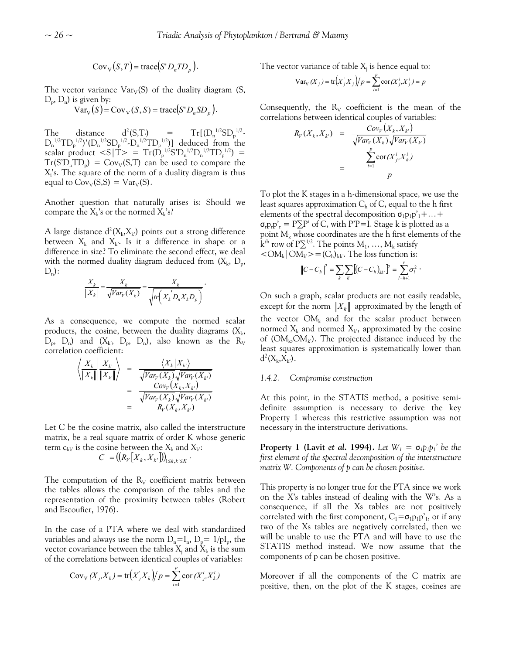$$
Cov_V(S,T) = \text{trace}(S'D_n T D_p).
$$

The vector variance  $Var_V(S)$  of the duality diagram (S,  $D_p$ ,  $D_n$ ) is given by:

$$
\text{Var}_{\text{V}}(S) = \text{Cov}_{\text{V}}(S, S) = \text{trace}(S'D_n SD_p).
$$

The distance (S,T.) =  $Tr[(D_n^{1/2}SD_p^{1/2} D_n^{1/2}TD_p^{1/2}$ )'( $D_n^{1/2}SD_p^{1/2} \cdot D_n^{1/2}TD_p^{1/2}$ )] deduced from the scalar product  $\langle S | \dot{T} \rangle = T_r (\dot{D}_p^{1/2} S' D_n^{1/2} D_n^{1/2} T D_p^{1/2}) =$  $Tr(S'D<sub>n</sub>TD<sub>p</sub>) = Cov<sub>V</sub>(S,T)$  can be used to compare the X<sub>i</sub>'s. The square of the norm of a duality diagram is thus equal to  $\text{Cov}_V(S, S) = \text{Var}_V(S)$ .

Another question that naturally arises is: Should we compare the  $X_k$ 's or the normed  $X_k$ 's?

A large distance  $d^2(X_k, X_k)$  points out a strong difference between  $X_k$  and  $X_k$ . Is it a difference in shape or a difference in size? To eliminate the second effect, we deal with the normed duality diagram deduced from  $(X_k, D_p,$  $D_n$ :

$$
\frac{X_k}{\left\|X_k\right\|} = \frac{X_k}{\sqrt{Var_V(X_k)}} = \frac{X_k}{\sqrt{tr\left(X_k D_n X_k D_p\right)}}.
$$

As a consequence, we compute the normed scalar products, the cosine, between the duality diagrams  $(X_k,$  $D_p$ ,  $D_n$ ) and  $(X_k, D_p, D_n)$ , also known as the  $R_V$ correlation coefficient:

$$
\begin{array}{rcl}\n\left\langle \frac{X_k}{\|X_k\|} \middle| \frac{X_{k'}}{\|X_k\|} \right\rangle & = & \frac{\left\langle X_k \middle| X_{k'} \right\rangle}{\sqrt{Var_V(X_k)} \sqrt{Var_V(X_{k'})}} \\
& = & \frac{Cov_V(X_k, X_k)}{\sqrt{Var_V(X_k)} \sqrt{Var_V(X_{k'})}} \\
& = & R_V(X_k, X_k)\n\end{array}
$$

Let C be the cosine matrix, also called the interstructure matrix, be a real square matrix of order K whose generic term  $c_{kk'}$  is the cosine between the  $X_k$  and  $X_{k'}$ :

$$
C = ((R_V[X_k, X_{k'}])_{1 \leq k, k' \leq K} .
$$

The computation of the  $R_V$  coefficient matrix between the tables allows the comparison of the tables and the representation of the proximity between tables (Robert and Escoufier, 1976).

In the case of a PTA where we deal with standardized variables and always use the norm  $D_n=I_n$ ,  $D_p= 1/pI_p$ , the vector covariance between the tables  $\mathrm{X}_{\mathrm{j}}$  and  $\mathrm{\check{X}}_{\mathrm{k}}$  is the sum of the correlations between identical couples of variables:

$$
Cov_v(X_j, X_k) = tr(X'_j X_k)/p = \sum_{i=1}^p cor(X'_j, X'_k)
$$

The vector variance of table  $X_j$  is hence equal to:

$$
Var_V(X_j) = tr(X'_jX_j)/p = \sum_{i=1}^p cor(X^i_j, X^i_j) = p
$$

Consequently, the  $R_V$  coefficient is the mean of the correlations between identical couples of variables:

$$
R_V(X_k, X_{k'}) = \frac{Cov_V(X_k, X_{k'})}{\sqrt{Var_V(X_k)}\sqrt{Var_V(X_{k'})}}
$$
  
= 
$$
\frac{\sum_{i=1}^p \text{cor}(X_j^i, X_k^i)}{p}
$$

To plot the K stages in a h-dimensional space, we use the least squares approximation  $C_h$  of C, equal to the h first elements of the spectral decomposition  $\sigma_1 p_1 p'_1 + ... +$  $\sigma_{r}p_{r}p_{r}^{\prime}=P\Sigma P^{\prime}$  of C, with P'P=I. Stage k is plotted as a point  $M_k$  whose coordinates are the h first elements of the k<sup>th</sup> row of P $\Sigma^{1/2}$ . The points M<sub>1</sub>, ..., M<sub>k</sub> satisfy  $\langle \text{OM}_k | \text{OM}_k \rangle = (C_h)_{kk}$ . The loss function is:

$$
||C - Ch||2 = \sum_{k} \sum_{k'} [(C - Ch)kk']2 = \sum_{l=h+1}^{r} \sigma_l^{2}.
$$

On such a graph, scalar products are not easily readable, except for the norm  $||X_k||$  approximated by the length of the vector  $OM_k$  and for the scalar product between normed  $X_k$  and normed  $X_k$ , approximated by the cosine of  $(OM_k, OM_k)$ . The projected distance induced by the least squares approximation is systematically lower than  $d^2(X_k, X_{k'})$ .

#### *1.4.2. Compromise construction*

At this point, in the STATIS method, a positive semidefinite assumption is necessary to derive the key Property 1 whereas this restrictive assumption was not necessary in the interstructure derivations.

**Property 1 (Lavit** *et al.* **1994).** Let  $W_1 = \sigma_1 p_1 p_1'$  be the *first element of the spectral decomposition of the interstructure matrix W. Components of p can be chosen positive.* 

This property is no longer true for the PTA since we work on the X's tables instead of dealing with the W's. As a consequence, if all the Xs tables are not positively correlated with the first component,  $C_1 = \sigma_1 p_1 p'_1$ , or if any two of the Xs tables are negatively correlated, then we will be unable to use the PTA and will have to use the STATIS method instead. We now assume that the components of p can be chosen positive.

Moreover if all the components of the C matrix are positive, then, on the plot of the K stages, cosines are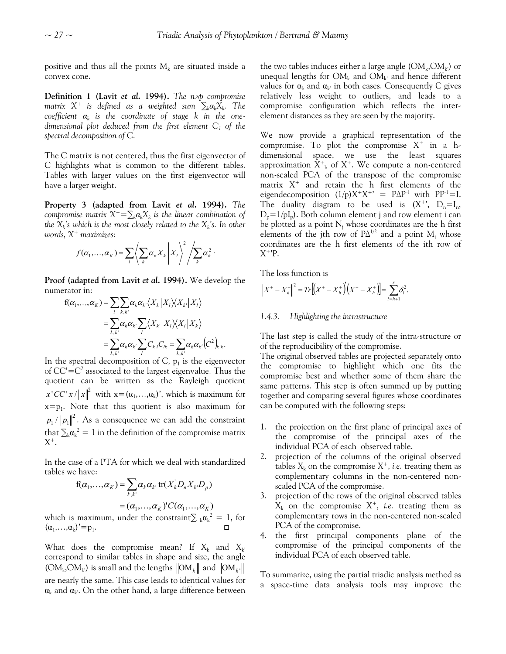positive and thus all the points  $M_k$  are situated inside a convex cone.

**Definition 1 (Lavit** *et al.* **1994).** *The n*×*p compromise matrix*  $X^+$  *is defined as a weighted sum*  $\sum_k \alpha_k X_k$ . The *coefficient αk is the coordinate of stage k in the onedimensional plot deduced from the first element C1 of the spectral decomposition of C.* 

The C matrix is not centered, thus the first eigenvector of C highlights what is common to the different tables. Tables with larger values on the first eigenvector will have a larger weight.

**Property 3 (adapted from Lavit** *et al.* **1994).** *The compromise matrix*  $X^+ = \sum_k \alpha_k X_k$  *is the linear combination of the*  $X_k$ 's which is the most closely related to the  $X_k$ 's. In other *words, X+ maximizes:* 

$$
f(\alpha_1,\ldots,\alpha_k)=\sum_l\left\langle\sum_k\alpha_kX_k\bigg|X_l\right\rangle^2\left\langle\sum_k\alpha_k^2\right\rangle.
$$

**Proof (adapted from Lavit** *et al.* **1994).** We develop the numerator in:

$$
f(\alpha_1, ..., \alpha_K) = \sum_{l} \sum_{k,k'} \alpha_k \alpha_{k'} \langle X_k | X_l \rangle \langle X_{k'} | X_l \rangle
$$
  
= 
$$
\sum_{k,k'} \alpha_k \alpha_{k'} \sum_{l} \langle X_{k'} | X_l \rangle \langle X_l | X_k \rangle
$$
  
= 
$$
\sum_{k,k'} \alpha_k \alpha_{k'} \sum_{l} C_{k'l} C_{lk} = \sum_{k,k'} \alpha_k \alpha_{k'} (C^2)_{k'k}.
$$

In the spectral decomposition of C,  $p_1$  is the eigenvector of  $CC' = C^2$  associated to the largest eigenvalue. Thus the quotient can be written as the Rayleigh quotient  $x$ <sup>'</sup>CC'  $x$  / $||x||^2$  with  $x = (\alpha_1, ..., \alpha_k)$ ', which is maximum for  $x=p_1$ . Note that this quotient is also maximum for  $p_1 / \| p_1 \|^2$ . As a consequence we can add the constraint that  $\sum_{k} \alpha_k^2 = 1$  in the definition of the compromise matrix  $X^+$ .

In the case of a PTA for which we deal with standardized tables we have:

$$
f(\alpha_1, ..., \alpha_K) = \sum_{k,k'} \alpha_k \alpha_{k'} \text{ tr}(X_k' D_n X_k D_p)
$$
  
=  $(\alpha_1, ..., \alpha_K) \text{'}C(\alpha_1, ..., \alpha_K)$   
is maximum under the constraint S,  $\alpha^2 =$ 

which is maximum, under the constraint $\sum_k \alpha_k^2 = 1$ , for  $(\alpha_1,\ldots,\alpha_k)'=p_1.$ 

What does the compromise mean? If  $X_k$  and  $X_k$ correspond to similar tables in shape and size, the angle  $(OM_k, OM_{k'})$  is small and the lengths  $\|OM_k\|$  and  $\|OM_{k'}\|$ are nearly the same. This case leads to identical values for  $\alpha_k$  and  $\alpha_k$ . On the other hand, a large difference between the two tables induces either a large angle  $(OM_k, OM_k)$  or unequal lengths for  $OM_k$  and  $OM_{k'}$  and hence different values for  $\alpha_k$  and  $\alpha_{k'}$  in both cases. Consequently C gives relatively less weight to outliers, and leads to a compromise configuration which reflects the interelement distances as they are seen by the majority.

We now provide a graphical representation of the compromise. To plot the compromise  $X^+$  in a hdimensional space, we use the least squares approximation  $X^+$ <sub>h</sub> of  $X^+$ . We compute a non-centered non-scaled PCA of the transpose of the compromise matrix  $X^+$  and retain the h first elements of the eigendecomposition  $(1/p)X^+X^{+} = P\Delta P^{-1}$  with PP<sup>-1</sup>=I. The duality diagram to be used is  $(X^+$ ,  $D_n = I_n$ ,  $D_n=1/pI_n$ ). Both column element j and row element i can be plotted as a point  $N_i$  whose coordinates are the h first elements of the jth row of  $P\Delta^{1/2}$  and a point  $M_i$  whose coordinates are the h first elements of the ith row of  $X^+$ 'P.

The loss function is

$$
\left\|X^+ - X_h^+\right\|^2 = Tr\left[\left(X^+ - X_h^+\right)\left(X^+ - X_h^+\right)\right] = \sum_{l=h+1}^r \delta_l^2.
$$

#### *1.4.3. Highlighting the intrastructure*

The last step is called the study of the intra-structure or of the reproducibility of the compromise.

The original observed tables are projected separately onto the compromise to highlight which one fits the compromise best and whether some of them share the same patterns. This step is often summed up by putting together and comparing several figures whose coordinates can be computed with the following steps:

- 1. the projection on the first plane of principal axes of the compromise of the principal axes of the individual PCA of each observed table.
- 2. projection of the columns of the original observed tables  $X_k$  on the compromise  $X^+$ , *i.e.* treating them as complementary columns in the non-centered nonscaled PCA of the compromise.
- 3. projection of the rows of the original observed tables  $X_k$  on the compromise  $X^+$ , *i.e.* treating them as complementary rows in the non-centered non-scaled PCA of the compromise.
- 4. the first principal components plane of the compromise of the principal components of the individual PCA of each observed table.

To summarize, using the partial triadic analysis method as a space-time data analysis tools may improve the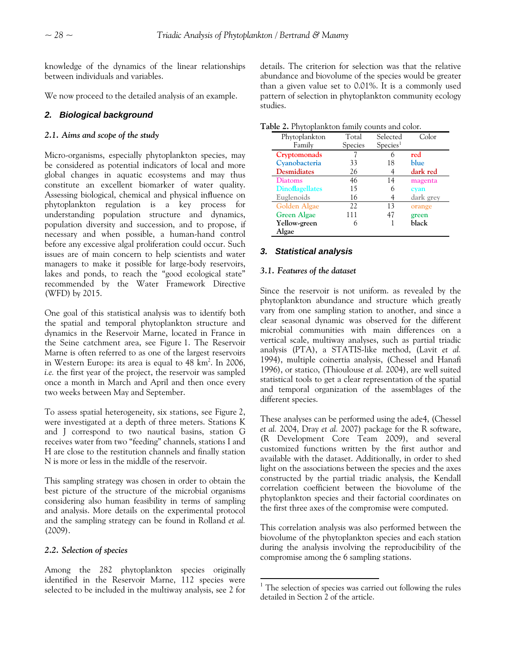knowledge of the dynamics of the linear relationships between individuals and variables.

We now proceed to the detailed analysis of an example.

# *2. Biological background*

## *2.1. Aims and scope of the study*

Micro-organisms, especially phytoplankton species, may be considered as potential indicators of local and more global changes in aquatic ecosystems and may thus constitute an excellent biomarker of water quality. Assessing biological, chemical and physical influence on phytoplankton regulation is a key process for understanding population structure and dynamics, population diversity and succession, and to propose, if necessary and when possible, a human-hand control before any excessive algal proliferation could occur. Such issues are of main concern to help scientists and water managers to make it possible for large-body reservoirs, lakes and ponds, to reach the "good ecological state" recommended by the Water Framework Directive (WFD) by 2015.

One goal of this statistical analysis was to identify both the spatial and temporal phytoplankton structure and dynamics in the Reservoir Marne, located in France in the Seine catchment area, see [Figure 1.](#page-6-0) The Reservoir Marne is often referred to as one of the largest reservoirs in Western Europe: its area is equal to  $48 \text{ km}^2$ . In 2006, *i.e.* the first year of the project, the reservoir was sampled once a month in March and April and then once every two weeks between May and September.

To assess spatial heterogeneity, six stations, see [Figure 2](#page-6-1), were investigated at a depth of three meters. Stations K and J correspond to two nautical basins, station G receives water from two "feeding" channels, stations I and H are close to the restitution channels and finally station N is more or less in the middle of the reservoir.

This sampling strategy was chosen in order to obtain the best picture of the structure of the microbial organisms considering also human feasibility in terms of sampling and analysis. More details on the experimental protocol and the sampling strategy can be found in Rolland *et al.* (2009).

# *2.2. Selection of species*

<span id="page-5-0"></span>Among the 282 phytoplankton species originally identified in the Reservoir Marne, 112 species were selected to be included in the multiway analysis, see 2 for details. The criterion for selection was that the relative abundance and biovolume of the species would be greater than a given value set to 0.01%. It is a commonly used pattern of selection in phytoplankton community ecology studies.

| Phytoplankton          | Total   | Selected             | Color     |
|------------------------|---------|----------------------|-----------|
| Family                 | Species | Species <sup>1</sup> |           |
| Cryptomonads           |         | 6                    | red       |
| Cyanobacteria          | 33      | 18                   | blue      |
| <b>Desmidiates</b>     | 26      |                      | dark red  |
| <b>Diatoms</b>         | 46      | 14                   | magenta   |
| <b>Dinoflagellates</b> | 15      | 6                    | cyan      |
| Euglenoids             | 16      |                      | dark grey |
| Golden Algae           | 22.     | 13                   | orange    |
| <b>Green Algae</b>     | 111     | 47                   | green     |
| Yellow-green           | 6       |                      | black     |
| Algae                  |         |                      |           |

# *3. Statistical analysis*

### *3.1. Features of the dataset*

Since the reservoir is not uniform. as revealed by the phytoplankton abundance and structure which greatly vary from one sampling station to another, and since a clear seasonal dynamic was observed for the different microbial communities with main differences on a vertical scale, multiway analyses, such as partial triadic analysis (PTA), a STATIS-like method, (Lavit *et al.* 1994), multiple coinertia analysis, (Chessel and Hanafi 1996), or statico, (Thioulouse *et al.* 2004), are well suited statistical tools to get a clear representation of the spatial and temporal organization of the assemblages of the different species.

These analyses can be performed using the ade4, (Chessel *et al.* 2004, Dray *et al.* 2007) package for the R software, (R Development Core Team 2009), and several customized functions written by the first author and available with the dataset. Additionally, in order to shed light on the associations between the species and the axes constructed by the partial triadic analysis, the Kendall correlation coefficient between the biovolume of the phytoplankton species and their factorial coordinates on the first three axes of the compromise were computed.

This correlation analysis was also performed between the biovolume of the phytoplankton species and each station during the analysis involving the reproducibility of the compromise among the 6 sampling stations.

 $1$  The selection of species was carried out following the rules detailed in Section 2 of the article.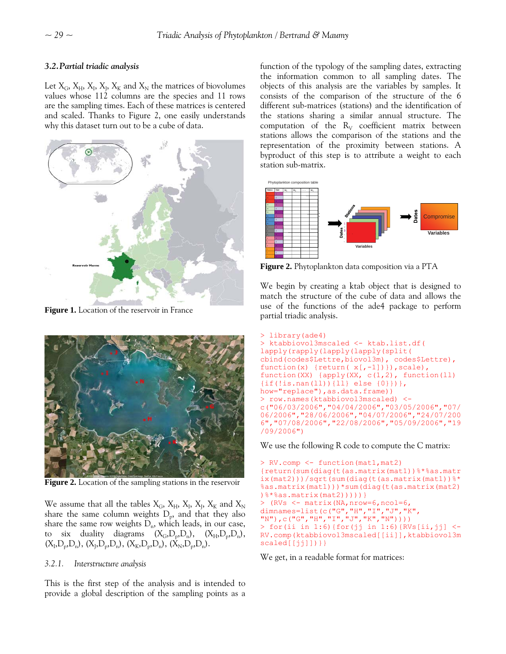# *3.2.Partial triadic analysis*

Let  $X_G$ ,  $X_H$ ,  $X_I$ ,  $X_K$  and  $X_N$  the matrices of biovolumes values whose 112 columns are the species and 11 rows are the sampling times. Each of these matrices is centered and scaled. Thanks to Figure 2, one easily understands why this dataset turn out to be a cube of data.



<span id="page-6-0"></span>**Figure 1.** Location of the reservoir in France



**Figure 2.** Location of the sampling stations in the reservoir

<span id="page-6-1"></span>We assume that all the tables  $X_G$ ,  $X_H$ ,  $X_I$ ,  $X_I$ ,  $X_K$  and  $X_N$ share the same column weights  $D_p$ , and that they also share the same row weights  $D_n$ , which leads, in our case, to six duality diagrams  $(X_G, D_n, D_n)$ ,  $(X_H, D_n, D_n)$ ,  $(X_I, D_p, D_n)$ ,  $(X_I, D_p, D_n)$ ,  $(X_K, D_p, D_n)$ ,  $(X_N, D_p, D_n)$ .

# *3.2.1. Interstructure analysis*

This is the first step of the analysis and is intended to provide a global description of the sampling points as a function of the typology of the sampling dates, extracting the information common to all sampling dates. The objects of this analysis are the variables by samples. It consists of the comparison of the structure of the 6 different sub-matrices (stations) and the identification of the stations sharing a similar annual structure. The computation of the  $R_V$  coefficient matrix between stations allows the comparison of the stations and the representation of the proximity between stations. A byproduct of this step is to attribute a weight to each station sub-matrix.



**Figure 2.** Phytoplankton data composition via a PTA

We begin by creating a ktab object that is designed to match the structure of the cube of data and allows the use of the functions of the ade4 package to perform partial triadic analysis.

```
> library(ade4) 
> ktabbiovol3mscaled <- ktab.list.df( 
lapply(rapply(lapply(lapply(split( 
cbind(codes$Lettre,biovol3m), codes$Lettre), 
function(x) {return( x[, -1])}), scale),
function(XX) \{apply(XX, c(1,2), function(1)\}\)\{if(!is.nan(ll))\{ll\} else \{0\}\}),
how="replace"), as.data.frame))
> row.names(ktabbiovol3mscaled) <- 
c("06/03/2006","04/04/2006","03/05/2006","07/
06/2006","28/06/2006","04/07/2006","24/07/200
6","07/08/2006","22/08/2006","05/09/2006","19
/09/2006")
```
We use the following R code to compute the C matrix:

```
> RV.comp <- function(mat1,mat2) 
{return(sum(diag(t(as.matrix(mat1))%*%as.matr
ix(mat2)))/sqrt(sum(diag(t(as.matrix(mat1))%*
%as.matrix(mat1)))*sum(diag(t(as.matrix(mat2)
)%*%as.matrix(mat2)))))} 
> (RVs <- matrix(NA,nrow=6,ncol=6, 
dimnames=list(c("G","H","I","J","K", 
"N"),c("G","H","I","J","K","N")))) 
> for(ii in 1:6){for(jj in 1:6){RVs[ii,jj] <- 
RV.comp(ktabbiovol3mscaled[[ii]],ktabbiovol3m
scaled[[jj]])}}
```
We get, in a readable format for matrices: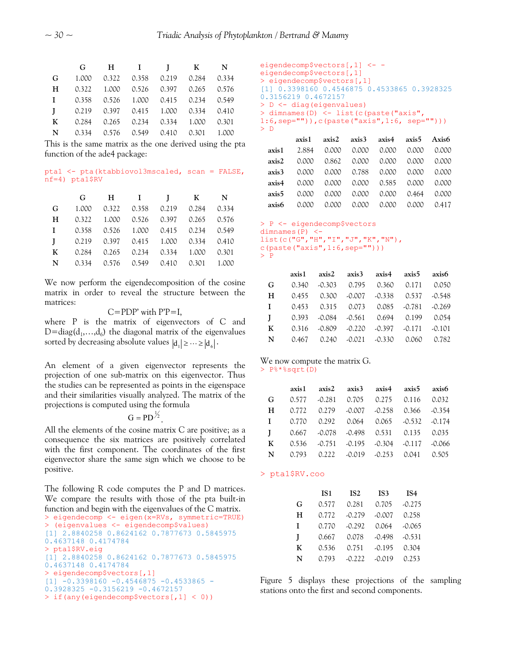|   | G                                       | HI I KN |  |  |
|---|-----------------------------------------|---------|--|--|
| G | 1.000 0.322 0.358 0.219 0.284 0.334     |         |  |  |
| H | 0.322 1.000 0.526 0.397 0.265 0.576     |         |  |  |
|   | I 0.358 0.526 1.000 0.415 0.234 0.549   |         |  |  |
|   | $I$ 0.219 0.397 0.415 1.000 0.334 0.410 |         |  |  |
|   | K 0.284 0.265 0.234 0.334 1.000 0.301   |         |  |  |
|   | N 0.334 0.576 0.549 0.410 0.301 1.000   |         |  |  |

This is the same matrix as the one derived using the pta function of the ade4 package:

#### pta1 <- pta(ktabbiovol3mscaled, scan = FALSE, nf=4) pta1\$RV

|              | $\mathbf{G}$                             |  | HI I KN                             |  |  |
|--------------|------------------------------------------|--|-------------------------------------|--|--|
| G            |                                          |  | 1.000 0.322 0.358 0.219 0.284 0.334 |  |  |
| H            |                                          |  | 0.322 1.000 0.526 0.397 0.265 0.576 |  |  |
| $\mathbf{I}$ | 0.358  0.526  1.000  0.415  0.234  0.549 |  |                                     |  |  |
| $\mathbf{I}$ | 0.219 0.397 0.415 1.000 0.334 0.410      |  |                                     |  |  |
| $\mathbf{K}$ |                                          |  | 0.284 0.265 0.234 0.334 1.000 0.301 |  |  |
|              | N 0.334 0.576 0.549 0.410 0.301 1.000    |  |                                     |  |  |

We now perform the eigendecomposition of the cosine matrix in order to reveal the structure between the matrices:

#### $C=$ PDP' with  $P'P=I$ ,

where P is the matrix of eigenvectors of C and D=diag( $d_1$ ,..., $d_6$ ) the diagonal matrix of the eigenvalues sorted by decreasing absolute values  $|d_1| \geq \cdots \geq |d_6|$ .

An element of a given eigenvector represents the projection of one sub-matrix on this eigenvector. Thus the studies can be represented as points in the eigenspace and their similarities visually analyzed. The matrix of the projections is computed using the formula

$$
G = PD^{\frac{1}{2}}.
$$

All the elements of the cosine matrix C are positive; as a consequence the six matrices are positively correlated with the first component. The coordinates of the first eigenvector share the same sign which we choose to be positive.

The following R code computes the P and D matrices. We compare the results with those of the pta built-in function and begin with the eigenvalues of the C matrix. > eigendecomp <- eigen(x=RVs, symmetric=TRUE)

```
> (eigenvalues <- eigendecomp$values) 
[1] 2.8840258 0.8624162 0.7877673 0.5845975 
0.4637148 0.4174784 
> pta1$RV.eig 
[1] 2.8840258 0.8624162 0.7877673 0.5845975 
0.4637148 0.4174784 
> eigendecomp$vectors[,1] 
[1] -0.3398160 -0.4546875 -0.4533865 -
0.3928325 -0.3156219 -0.4672157 
> if(any(eigendecomp$vectors[,1] < 0))
```

```
eigendecomp$vectors[,1] <- -
eigendecomp$vectors[,1] 
> eigendecomp$vectors[,1] 
[1] 0.3398160 0.4546875 0.4533865 0.3928325 
0.3156219 0.4672157 
> D <- diag(eigenvalues) 
> dimnames(D) <- list(c(paste("axis", 
1:6,sep="")),c(paste("axis",1:6, sep=""))) 
> D
```

|                   |                                     |  | axis1 axis2 axis3 axis4 axis5 Axis6     |       |
|-------------------|-------------------------------------|--|-----------------------------------------|-------|
|                   | axis1 2.884 0.000 0.000 0.000 0.000 |  |                                         | 0.000 |
| axis2             | 0.000 0.862 0.000 0.000 0.000 0.000 |  |                                         |       |
| axis <sup>3</sup> |                                     |  | 0.000 0.000 0.788 0.000 0.000 0.000     |       |
|                   | axis4 0.000 0.000 0.000 0.585 0.000 |  |                                         | 0.000 |
| axis5             |                                     |  | 0.000 0.000 0.000 0.000 0.464 0.000     |       |
| axis6             | 0.000                               |  | $0.000$ $0.000$ $0.000$ $0.000$ $0.417$ |       |

```
> P <- eigendecomp$vectors 
dimnames(P) <-
list(c("G","H","I","J","K","N"), 
c(paste("axis", 1:6, sep="")))
```
> P

|              |  |                                                 | $axis1$ $axis2$ $axis3$ $axis4$ $axis5$ $axis6$ |  |  |
|--------------|--|-------------------------------------------------|-------------------------------------------------|--|--|
| G            |  |                                                 | $0.340$ $0.303$ $0.795$ $0.360$ $0.171$ $0.050$ |  |  |
| H            |  | $0.455$ $0.300$ $0.007$ $0.338$ $0.537$ $0.548$ |                                                 |  |  |
| $\mathbf{I}$ |  |                                                 | $0.453$ $0.315$ $0.073$ $0.085$ $0.781$ $0.269$ |  |  |
| $\mathbf{I}$ |  |                                                 | $0.393$ $0.084$ $0.561$ $0.694$ $0.199$ $0.054$ |  |  |
| $\mathbf{K}$ |  |                                                 | $0.316$ $0.809$ $0.220$ $0.397$ $0.171$ $0.101$ |  |  |
| N            |  |                                                 | $0.467$ $0.240$ $0.021$ $0.330$ $0.060$ $0.782$ |  |  |

#### We now compute the matrix G. > P%\*%sqrt(D)

|  | axis1 axis2 axis3 axis4 axis5 axis6                |                                             |  |  |
|--|----------------------------------------------------|---------------------------------------------|--|--|
|  | G $0.577$ $-0.281$ $0.705$ $0.275$ $0.116$ $0.032$ |                                             |  |  |
|  | $H = 0.772$ 0.279 -0.007 -0.258 0.366 -0.354       |                                             |  |  |
|  |                                                    | $I = 0.770$ 0.292 0.064 0.065 -0.532 -0.174 |  |  |
|  | $I$ 0.667 -0.078 -0.498 0.531 0.135 0.035          |                                             |  |  |
|  | K 0.536 -0.751 -0.195 -0.304 -0.117 -0.066         |                                             |  |  |
|  | N 0.793 0.222 -0.019 -0.253 0.041 0.505            |                                             |  |  |

#### > pta1\$RV.coo

|   | IS <sub>1</sub> | IS <sub>2</sub> | IS <sub>3</sub> | IS <sub>4</sub> |
|---|-----------------|-----------------|-----------------|-----------------|
| G | 0.577           | 0.281           | 0.705           | $-0.275$        |
| н | 0.772           | $-0.279$        | $-0.007$        | 0.258           |
| I | 0.770           | $-0.292$        | 0.064           | $-0.065$        |
| I | 0.667           | 0.078           | $-0.498$        | $-0.531$        |
| K | 0.536           | 0.751           | $-0.195$        | 0.304           |
| N | 0.793           | $-0.222$        | $-0.019$        | 0.253           |

Figure 5 displays these projections of the sampling stations onto the first and second components.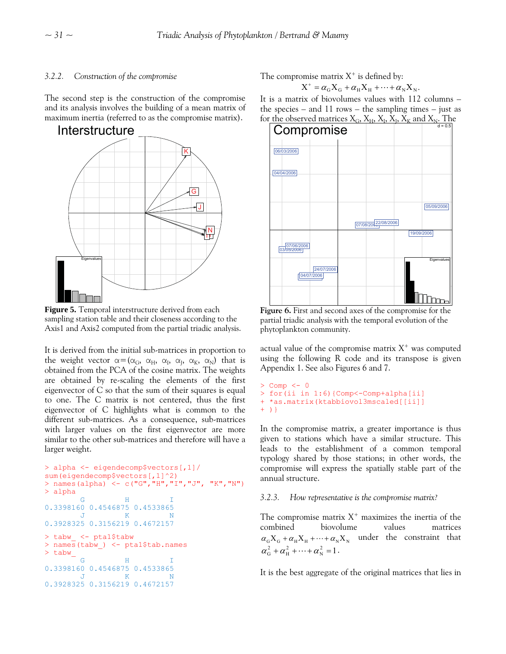# *3.2.2. Construction of the compromise*

The second step is the construction of the compromise and its analysis involves the building of a mean matrix of maximum inertia (referred to as the compromise matrix).



**Figure 5.** Temporal interstructure derived from each sampling station table and their closeness according to the Axis1 and Axis2 computed from the partial triadic analysis.

It is derived from the initial sub-matrices in proportion to the weight vector  $\alpha = (\alpha_G, \alpha_H, \alpha_I, \alpha_I, \alpha_K, \alpha_N)$  that is obtained from the PCA of the cosine matrix. The weights are obtained by re-scaling the elements of the first eigenvector of C so that the sum of their squares is equal to one. The C matrix is not centered, thus the first eigenvector of C highlights what is common to the different sub-matrices. As a consequence, sub-matrices with larger values on the first eigenvector are more similar to the other sub-matrices and therefore will have a larger weight.

```
> alpha <- eigendecomp$vectors[,1]/ 
sum(eigendecomp$vectors[,1]^2) 
> names(alpha) <- c("G","H","I","J", "K","N") 
> alpha 
G H I
0.3398160 0.4546875 0.4533865 
 J K N 
0.3928325 0.3156219 0.4672157 
> tabw_ <- pta1$tabw 
> names(tabw_) <- pta1$tab.names
> tabw_ \frac{1}{9}G H I
0.3398160 0.4546875 0.4533865 
   J K N 
0.3928325 0.3156219 0.4672157
```
The compromise matrix  $X^+$  is defined by:

$$
X^+ = \alpha_G X_G + \alpha_H X_H + \dots + \alpha_N X_N.
$$

It is a matrix of biovolumes values with 112 columns – the species – and 11 rows – the sampling times – just as for the observed matrices  $X_G$ ,  $X_H$ ,  $X_I$ ,  $X_K$  and  $X_N$ . The



**Figure 6.** First and second axes of the compromise for the partial triadic analysis with the temporal evolution of the phytoplankton community.

actual value of the compromise matrix  $X^+$  was computed using the following R code and its transpose is given Appendix 1. See also Figures 6 and 7.

```
> Comp <- 0
> for(ii in 1:6){Comp<-Comp+alpha[ii] 
+ *as.matrix(ktabbiovol3mscaled[[ii]] 
+ )}
```
In the compromise matrix, a greater importance is thus given to stations which have a similar structure. This leads to the establishment of a common temporal typology shared by those stations; in other words, the compromise will express the spatially stable part of the annual structure.

# *3.2.3. How representative is the compromise matrix?*

The compromise matrix  $X^+$  maximizes the inertia of the combined biovolume values matrices  $\alpha_{\rm G}X_{\rm G} + \alpha_{\rm H}X_{\rm H} + \cdots + \alpha_{\rm N}X_{\rm N}$  under the constraint that  $\alpha_{\rm G}^2 + \alpha_{\rm H}^2 + \cdots + \alpha_{\rm N}^2 = 1$ .

It is the best aggregate of the original matrices that lies in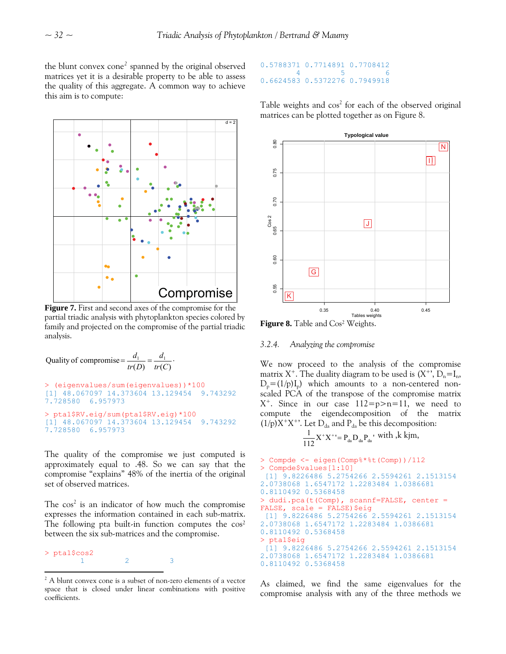the blunt convex cone<sup>[2](#page-9-0)</sup> spanned by the original observed matrices yet it is a desirable property to be able to assess the quality of this aggregate. A common way to achieve this aim is to compute:



**Figure 7.** First and second axes of the compromise for the partial triadic analysis with phytoplankton species colored by family and projected on the compromise of the partial triadic analysis.

Quality of compromise =  $\frac{u_1}{tr(D)} = \frac{u_1}{tr(C)}$ . *d Dtr d* > (eigenvalues/sum(eigenvalues))\*100 [1] 48.067097 14.373604 13.129454 9.743292 7.728580 6.957973 > pta1\$RV.eig/sum(pta1\$RV.eig)\*100 [1] 48.067097 14.373604 13.129454 9.743292 7.728580 6.957973

The quality of the compromise we just computed is approximately equal to .48. So we can say that the compromise "explains" 48% of the inertia of the original set of observed matrices.

The  $\cos^2$  is an indicator of how much the compromise expresses the information contained in each sub-matrix. The following pta built-in function computes the  $\cos^2$ between the six sub-matrices and the compromise.

> pta1\$cos2 1 2 3 

#### 0.5788371 0.7714891 0.7708412 4 5 6 0.6624583 0.5372276 0.7949918

Table weights and  $cos<sup>2</sup>$  for each of the observed original matrices can be plotted together as on Figure 8.



**Figure 8.** Table and Cos² Weights.

#### *.2.4. Analyzing the compromise 3*

We now proceed to the analysis of the compromise matrix  $X^+$ . The duality diagram to be used is  $(X^+$ ,  $D_n = I_n$ ,  $D_p=(1/p)I_p$ ) which amounts to a non-centered nonscaled PCA of the transpose of the compromise matrix  $X^+$ . Since in our case  $112=p>n=11$ , we need to compute the eigendecomposition of the matrix  $(1/p)X^+X^+$ <sup>2</sup>. Let  $D_{da}$  and  $P_{da}$  be this decomposition:

$$
\frac{1}{112}X^{+}X^{+} = P_{da}D_{da}P_{da}^{*}
$$
 with ,*k k*jm,

```
> Compde <- eigen(Comp%*%t(Comp))/112 
> Compde$values[1:10] 
  [1] 9.8226486 5.2754266 2.5594261 2.1513154 
2.0738068 1.6547172 1.2283484 1.0386681 
0.8110492 0.5368458 
> dudi.pca(t(Comp), scannf=FALSE, center = 
FALSE, scale = FALSE) $eig
  [1] 9.8226486 5.2754266 2.5594261 2.1513154 
2.0738068 1.6547172 1.2283484 1.0386681 
0.8110492 0.5368458 
> pta1$eig 
  [1] 9.8226486 5.2754266 2.5594261 2.1513154 
2.0738068 1.6547172 1.2283484 1.0386681 
0.8110492 0.5368458
```
As claimed, we find the same eigenvalues for the compromise analysis with any of the three methods we

<span id="page-9-0"></span><sup>&</sup>lt;sup>2</sup> A blunt convex cone is a subset of non-zero elements of a vector space that is closed under linear combinations with positive coefficients.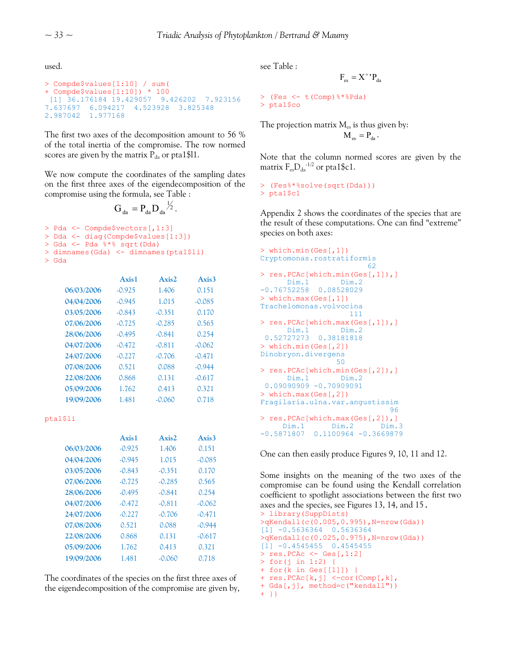used.

```
Compde$values[1:10] / sum( 
> 
[1] 36.176184 19.429057 9.426202 7.923156
+ Compde$values[1:10]) * 100 
7.637697 6.094217 4.523928 3.825348 
2.987042 1.977168
```
The first two axes of the decomposition amount to 56  $\%$ of the total inertia of the compromise. The row normed scores are given by the matrix  $P_{da}$  or pta1\$11.

We now compute the coordinates of the sampling dates on the first three axes of the eigendecomposition of the compromise using the formula, see [Table](#page-1-0) :

```
G_{da} = P_{da} D_{da}^{1/2}.
```

```
> Pda <- Compde$vectors[,1:3]
```

```
> Dda <- diag(Compde$values[1:3])
```

```
> Gda <- Pda %*% sqrt(Dda)
```

```
) 
> dimnames(Gda) <- dimnames(pta1$li
```

```
> Gda
```

|            | Axis1    | Axis2    | Axis3    |
|------------|----------|----------|----------|
| 06/03/2006 | $-0.925$ | 1.406    | 0.151    |
| 04/04/2006 | $-0.945$ | 1.015    | $-0.085$ |
| 03/05/2006 | $-0.843$ | $-0.351$ | 0.170    |
| 07/06/2006 | $-0.725$ | $-0.285$ | 0.565    |
| 28/06/2006 | $-0.495$ | $-0.841$ | 0.254    |
| 04/07/2006 | $-0.472$ | $-0.811$ | $-0.062$ |
| 24/07/2006 | $-0.227$ | $-0.706$ | $-0.471$ |
| 07/08/2006 | 0.521    | 0.088    | $-0.944$ |
| 22/08/2006 | 0.868    | 0.131    | $-0.617$ |
| 05/09/2006 | 1.762    | 0.413    | 0.321    |
| 19/09/2006 | 1.481    | $-0.060$ | 0.718    |

pta1\$li

|            | Axis1    | $A$ xis $2$ . | $A$ xis 3 |
|------------|----------|---------------|-----------|
| 06/03/2006 | $-0.925$ | 1.406         | 0.151     |
| 04/04/2006 | $-0.945$ | 1.015         | $-0.085$  |
| 03/05/2006 | $-0.843$ | $-0.351$      | 0.170     |
| 07/06/2006 | $-0.725$ | $-0.285$      | 0.565     |
| 28/06/2006 | $-0.495$ | $-0.841$      | 0.254     |
| 04/07/2006 | $-0.472$ | $-0.811$      | $-0.062$  |
| 24/07/2006 | $-0.227$ | $-0.706$      | $-0.471$  |
| 07/08/2006 | 0.521    | 0.088         | $-0.944$  |
| 22/08/2006 | 0.868    | 0.131         | $-0.617$  |
| 05/09/2006 | 1.762    | 0.413         | 0.321     |
| 19/09/2006 | 1.481    | $-0.060$      | 0.718     |

The coordinates of the species on the first three axes of  $+$  res. PCAc[k,j] <-cor (Comp[k], the eigendecomposition of the compromise are given by,

see [Table](#page-1-0) :

$$
F_{es} = X^{\ast} \, {}^{\prime}P_{da}
$$

```
(Fes <- t(Comp)%*%Pda) 
> 
> pta1$co
```
The projection matrix  $M_{\rm es}$  is thus given by:

$$
M_{\hbox{\tiny es}}=P_{\hbox{\tiny da}}\,.
$$

Note that the column normed scores are given by the matrix  $F_{es}D_{da}^{1/2}$  or pta1\$c1.

 (Fes%\*%solve(sqrt(Dda))) > > pta1\$c1

Appendix 2 shows the coordinates of the species that are the result of these computations. One can find "extreme" species on both axes:

```
which.min(Ges[,1]) 
> 
Cryptomonas.rostratiformis
                                ,] 
> res.PCAc[which.max(Ges[,1]),]
                        es[,2]),] 
Fragilaria.ulna.var.angustissim
\sim 62
> res.PCAc[which.min(Ges[,1])
       Dim.1 Dim.2 
-0.76752258 0.08528029 
> which.max(Ges[,1]) 
Trachelomonas.volvocina 
                      111 
      Dim.1 Dim.2 
  0.52727273 0.38181818 
> which.min(Ges[,2]) 
Dinobryon.divergens
50 50
> res.PCAc[which.min(G
      Dim.1 Dim.2 
 0.09090909 -0.70909091 
> which.max(Ges[,2]) 
<u>96 and 200 and 200 and 200 and 200 and 200 and 200 and 200 and 200 and 200 and 200 and 200 and 200 and 200 an</u>
> res.PCAc[which.max(Ges[,2]),] 
      Dim.1 Dim.2 Dim.3 
-0.5871807 0.1100964 -0.3669879
```
One can then easily produce Figures 9, 10, 11 and 12.

Some insights on the meaning of the two axes of the compromise can be found using the Kendall correlation coefficient to spotlight associations between the first two axes and the species, see Figures 13, 14, and 15.<br>> library(SuppDists)

```
>qKendall(c(0.005,0.995),N=nrow(Gda))
[1] -0.5636364 0.5636364 
>qKendall(c(0.025,0.975),N=nrow(Gda)) 
[1] -0.4545455 0.4545455 
> res.PCAc <- Ges[,1:2] 
> for(j in 1:2) \cdot+ for(k in Ges[[1]]) { 
+ res.PCAc[k,j] <-cor(Comp[,k],
+ Gda[,j], method=c("kendall")) 
+ }}
```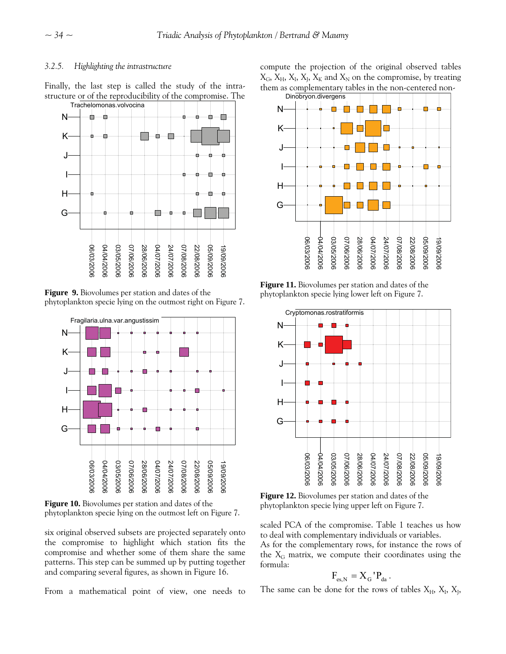#### *Highlighting the intrastructure 3.2.5.*

Finally, the last step is called the study of the intrastructure or of the reproducibility of the compromise. The



**Figure 9.** Biovolumes per station and dates of the phytoplankton specie lying on the outmost right on Figure 7.



**Figure 10.** Biovolumes per station and dates of the phytoplankton specie lying on the outmost left on Figure 7.

six original observed subsets are projected separately onto the compromise to highlight which station fits the compromise and whether some of them share the same patterns. This step can be summed up by putting together and comparing several figures, as shown in Figure 16.

From a mathematical point of view, one needs to

compute the projection of the original observed tables  $X_G$ ,  $X_H$ ,  $X_I$ ,  $X_I$ ,  $X_K$  and  $X_N$  on the compromise, by treating them as complementary tables in the non-centered non-



**Figure 11.** Biovolumes per station and dates of the phytoplankton specie lying lower left on Figure 7.



**Figure 12.** Biovolumes per station and dates of the phytoplankton specie lying upper left on Figure 7.

scaled PCA of the compromise. Table 1 teaches us how to deal with complementary individuals or variables.

As for the complementary rows, for instance the rows of the  $X_G$  matrix, we compute their coordinates using the formula:

$$
F_{\rm es,N} = X_{\rm G}^{\dagger} P_{\rm da}^{\dagger}.
$$

The same can be done for the rows of tables  $X_H$ ,  $X_I$ ,  $X_J$ ,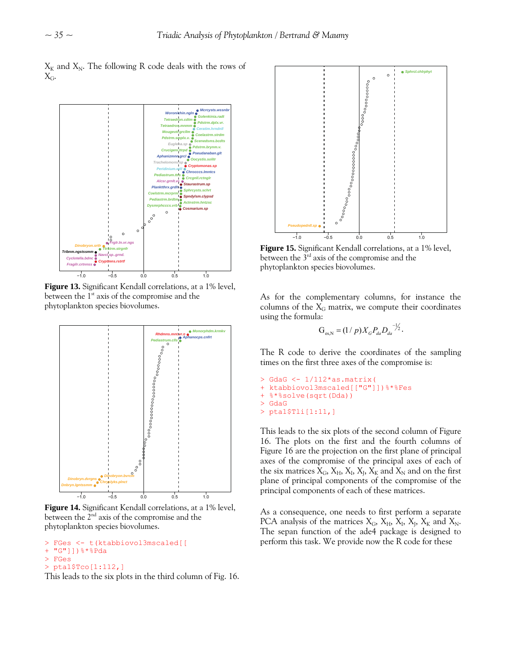$X_K$  and  $X_N$ . The following R code deals with the rows of  $X_{\rm G}$ .



**Figure 13.** Significant Kendall correlations, at a 1% level, between the  $1<sup>st</sup>$  axis of the compromise and the phytoplankton species biovolumes.



**Figure 14.** Significant Kendall correlations, at a 1% level, between the  $2<sup>nd</sup>$  axis of the compromise and the

```
FGes <- t(ktabbiovol3mscaled[[
```

```
+ "G"]])%*%Pda
```
- > FGes
- > pta1\$Tco[1:112,]

This leads to the six plots in the third column of Fig. 16.



**Figure 15.** Significant Kendall correlations, at a 1% level, between the 3<sup>rd</sup> axis of the compromise and the phytoplankton species biovolumes.

As for the complementary columns, for instance the columns of the  $X_G$  matrix, we compute their coordinates using the formula:

$$
G_{\text{es,N}} = (1/p) X_G P_{da} D_{da}^{-1/2}.
$$

The R code to derive the coordinates of the sampling times on the first three axes of the compromise is:

```
GdaG <- 1/112*as.matrix( 
> 
%*%Fes 
+ ktabbiovol3mscaled[["G"]])
+ %*%solve(sqrt(Dda)) 
> GdaG 
> pta1$Tli[1:11,]
```
This leads to the six plots of the second column of Figure 16. The plots on the first and the fourth columns of Figure 16 are the projection on the first plane of principal axes of the compromise of the principal axes of each of the six matrices  $X_G$ ,  $X_H$ ,  $X_I$ ,  $X_I$ ,  $X_K$  and  $X_N$  and on the first plane of principal components of the compromise of the principal components of each of these matrices.

As a consequence, one needs to first perform a separate phytoplankton species biovolumes.<br>  $\begin{array}{ll}\n\text{PCA analysis of the matrices } X_G, X_H, X_I, X_J, X_K \text{ and } X_N.\n\end{array}$ The sepan function of the ade4 package is designed to perform this task. We provide now the R code for these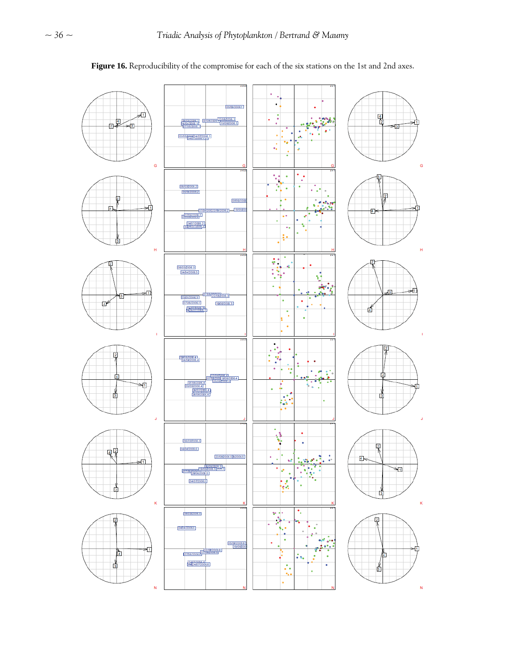# **Figure 16.** Reproducibility of the compromise for each of the six stations on the 1st and 2nd axes.

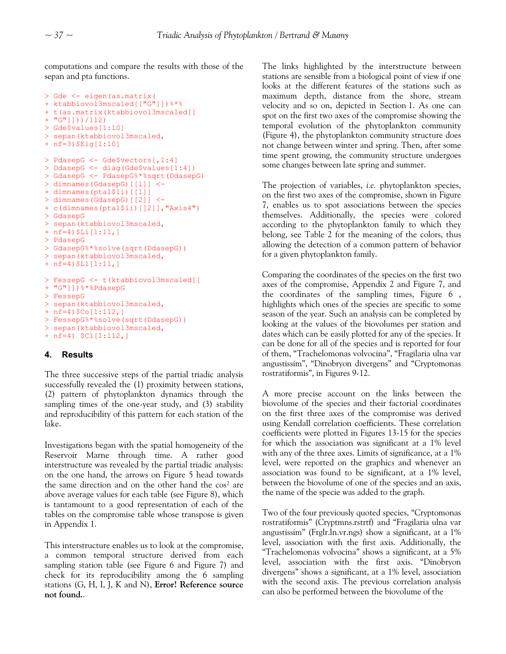computations and compare the results with those of the sepan and pta functions.

```
> Gde <- eigen(as.matrix( 
+ ktabbiovol3mscaled[["G"]])%*% 
+ t(as.matrix(ktabbiovol3mscaled[[ 
+ "G"]]))/112) 
> Gde$values[1:10] 
> sepan(ktabbiovol3mscaled, 
+ nf=3)$Eig[1:10] 
> PdasepG <- Gde$vectors[,1:4] 
> DdasepG <- diag(Gde$values[1:4]) 
> GdasepG <- PdasepG%*%sqrt(DdasepG) 
> dimnames(GdasepG)[[1]] <- 
+ dimnames(pta1$li)[[1]]
> dimnames(GdasepG)[[2]] <- 
+ c(dimnames(pta1$li)[[2]],"Axis4") 
> GdasepG 
> sepan(ktabbiovol3mscaled, 
+ n f=4) \Pi_1[1:11, ]> PdasepG 
> GdasepG%*%solve(sqrt(DdasepG)) 
> sepan(ktabbiovol3mscaled, 
+ nf=4) SL1[1:11,]> FessepG <- t(ktabbiovol3mscaled[[ 
+ "G"]])%*%PdasepG 
> FessepG 
> sepan(ktabbiovol3mscaled, 
+ nf=4) Co[1:112,1]> FessepG%*%solve(sqrt(DdasepG)) 
> sepan(ktabbiovol3mscaled, 
+ nf=4) $C1[1:112,]
```
# **4. Results**

The three successive steps of the partial triadic analysis successfully revealed the (1) proximity between stations, (2) pattern of phytoplankton dynamics through the sampling times of the one-year study, and (3) stability and reproducibility of this pattern for each station of the lake.

Investigations began with the spatial homogeneity of the Reservoir Marne through time. A rather good interstructure was revealed by the partial triadic analysis: on the one hand, the arrows on Figure 5 head towards the same direction and on the other hand the cos<sup>2</sup> are above average values for each table (see Figure 8), which is tantamount to a good representation of each of the tables on the compromise table whose transpose is given in Appendix 1.

This interstructure enables us to look at the compromise, a common temporal structure derived from each sampling station table (see Figure 6 and Figure 7) and check for its reproducibility among the 6 sampling stations (G, H, I, J, K and N), **Error! Reference source not found.**.

The links highlighted by the interstructure between stations are sensible from a biological point of view if one looks at the different features of the stations such as maximum depth, distance from the shore, stream velocity and so on, depicted in Section 1. As one can spot on the first two axes of the compromise showing the temporal evolution of the phytoplankton community (Figure 4), the phytoplankton community structure does not change between winter and spring. Then, after some time spent growing, the community structure undergoes some changes between late spring and summer.

The projection of variables, *i.e.* phytoplankton species, on the first two axes of the compromise, shown in Figure 7, enables us to spot associations between the species themselves. Additionally, the species were colored according to the phytoplankton family to which they belong, see Table 2 for the meaning of the colors, thus allowing the detection of a common pattern of behavior for a given phytoplankton family.

Comparing the coordinates of the species on the first two axes of the compromise, Appendix 2 and Figure 7, and the coordinates of the sampling times, Figure 6 , highlights which ones of the species are specific to some season of the year. Such an analysis can be completed by looking at the values of the biovolumes per station and dates which can be easily plotted for any of the species. It can be done for all of the species and is reported for four of them, "Trachelomonas volvocina", "Fragilaria ulna var angustissim", "Dinobryon divergens" and "Cryptomonas rostratiformis", in Figures 9-12.

A more precise account on the links between the biovolume of the species and their factorial coordinates on the first three axes of the compromise was derived using Kendall correlation coefficients. These correlation coefficients were plotted in Figures 13-15 for the species for which the association was significant at a 1% level with any of the three axes. Limits of significance, at a 1% level, were reported on the graphics and whenever an association was found to be significant, at a 1% level, between the biovolume of one of the species and an axis, the name of the specie was added to the graph.

Two of the four previously quoted species, "Cryptomonas rostratiformis" (Cryptmns.rstrtf) and "Fragilaria ulna var angustissim" (Frglr.ln.vr.ngs) show a significant, at a 1% level, association with the first axis. Additionally, the "Trachelomonas volvocina" shows a significant, at a 5% level, association with the first axis. "Dinobryon divergens" shows a significant, at a 1% level, association with the second axis. The previous correlation analysis can also be performed between the biovolume of the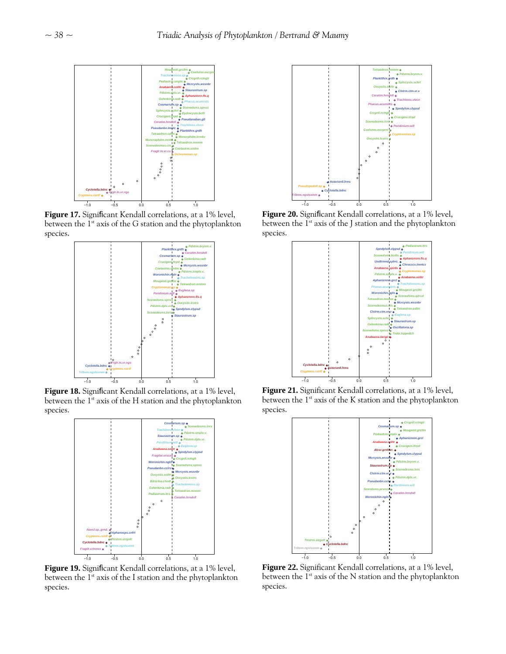

**Figure 17.** Significant Kendall correlations, at a 1% level, between the  $1^{st}$  axis of the G station and the phytoplankton species.



**Figure 18.** Significant Kendall correlations, at a 1% level, between the  $1^{st}$  axis of the H station and the phytoplankton species.



**Figure 19.** Significant Kendall correlations, at a 1% level, between the 1<sup>st</sup> axis of the I station and the phytoplankton species.



**Figure 20.** Significant Kendall correlations, at a 1% level, between the  $1^{st}$  axis of the J station and the phytoplankton species.



**Figure 21.** Significant Kendall correlations, at a 1% level, between the 1<sup>st</sup> axis of the K station and the phytoplankton species.



**Figure 22.** Significant Kendall correlations, at a 1% level, between the 1<sup>st</sup> axis of the N station and the phytoplankton species.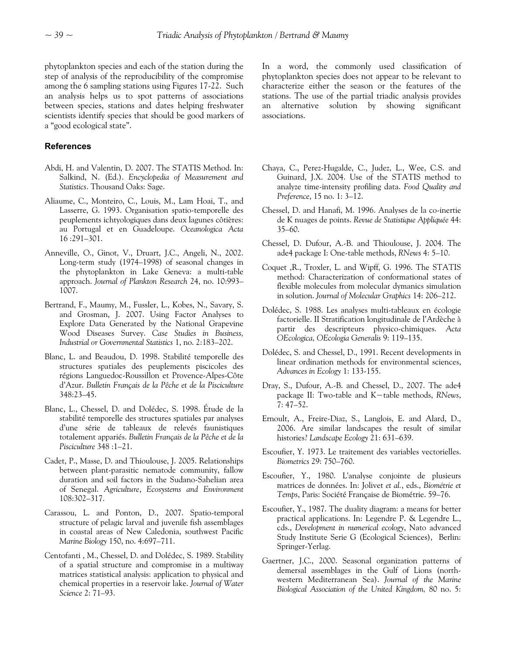phytoplankton species and each of the station during the step of analysis of the reproducibility of the compromise among the 6 sampling stations using Figures 17-22. Such an analysis helps us to spot patterns of associations between species, stations and dates helping freshwater scientists identify species that should be good markers of a "good ecological state".

## **References**

- Abdi, H. and Valentin, D. 2007. The STATIS Method. In: Salkind, N. (Ed.). *Encyclopedia of Measurement and Statistics*. Thousand Oaks: Sage.
- Aliaume, C., Monteiro, C., Louis, M., Lam Hoai, T., and Lasserre, G. 1993. Organisation spatio-temporelle des peuplements ichtyologiques dans deux lagunes côtières: au Portugal et en Guadeloupe. *Oceanologica Acta* 16 :291–301.
- Anneville, O., Ginot, V., Druart, J.C., Angeli, N., 2002. Long-term study (1974–1998) of seasonal changes in the phytoplankton in Lake Geneva: a multi-table approach. *Journal of Plankton Research* 24, no. 10:993– 1007.
- Bertrand, F., Maumy, M., Fussler, L., Kobes, N., Savary, S. and Grosman, J. 2007. Using Factor Analyses to Explore Data Generated by the National Grapevine Wood Diseases Survey. *Case Studies in Business, Industrial or Governmental Statistics* 1, no. 2:183–202.
- Blanc, L. and Beaudou, D. 1998. Stabilité temporelle des structures spatiales des peuplements piscicoles des régions Languedoc-Roussillon et Provence-Alpes-Côte d'Azur. *Bulletin Français de la Pêche et de la Pisciculture* 348:23–45.
- Blanc, L., Chessel, D. and Dolédec, S. 1998. Étude de la stabilité temporelle des structures spatiales par analyses d'une série de tableaux de relevés faunistiques totalement appariés. *Bulletin Français de la Pêche et de la Pisciculture* 348 :1–21.
- Cadet, P., Masse, D. and Thioulouse, J. 2005. Relationships between plant-parasitic nematode community, fallow duration and soil factors in the Sudano-Sahelian area of Senegal. *Agriculture*, *Ecosystems and Environment*  108:302–317.
- Carassou, L. and Ponton, D., 2007. Spatio-temporal structure of pelagic larval and juvenile fish assemblages in coastal areas of New Caledonia, southwest Pacific *Marine Biology* 150, no. 4:697–711.
- Centofanti , M., Chessel, D. and Dolédec, S. 1989. Stability of a spatial structure and compromise in a multiway matrices statistical analysis: application to physical and chemical properties in a reservoir lake. *Journal of Water Science* 2: 71–93.

In a word, the commonly used classification of phytoplankton species does not appear to be relevant to characterize either the season or the features of the stations. The use of the partial triadic analysis provides an alternative solution by showing significant associations.

- Chaya, C., Perez-Hugalde, C., Judez, L., Wee, C.S. and Guinard, J.X. 2004. Use of the STATIS method to analyze time-intensity profiling data. *Food Quality and Preference*, 15 no. 1: 3–12.
- Chessel, D. and Hanafi, M. 1996. Analyses de la co-inertie de K nuages de points. *Revue de Statistique Appliquée* 44: 35–60.
- Chessel, D. Dufour, A.-B. and Thioulouse, J. 2004. The ade4 package I: One-table methods, *RNews* 4: 5–10.
- Coquet ,R., Troxler, L. and Wipff, G. 1996. The STATIS method: Characterization of conformational states of flexible molecules from molecular dymanics simulation in solution. *Journal of Molecular Graphics* 14: 206–212.
- Dolédec, S. 1988. Les analyses multi-tableaux en écologie factorielle. II Stratification longitudinale de l'Ardèche à partir des descripteurs physico-chimiques. *Acta OEcologica, OEcologia Generalis* 9: 119–135.
- Dolédec, S. and Chessel, D., 1991. Recent developments in linear ordination methods for environmental sciences, *Advances in Ecology* 1: 133-155.
- Dray, S., Dufour, A.-B. and Chessel, D., 2007. The ade4 package II: Two-table and K−table methods, *RNews*, 7: 47–52.
- Ernoult, A., Freire-Diaz, S., Langlois, E. and Alard, D., 2006. Are similar landscapes the result of similar histories? *Landscape Ecology* 21: 631–639.
- Escoufier, Y. 1973. Le traitement des variables vectorielles. *Biometrics* 29: 750–760.
- Escoufier, Y., 1980. L'analyse conjointe de plusieurs matrices de données. In: Jolivet *et al.*, eds., *Biométrie et Temps*, Paris: Société Française de Biométrie. 59–76.
- Escoufier, Y., 1987. The duality diagram: a means for better practical applications. In: Legendre P. & Legendre L., cds., *Development in numerical ecology*, Nato advanced Study Institute Serie G (Ecological Sciences), Berlin: Springer-Yerlag.
- Gaertner, J.C., 2000. Seasonal organization patterns of demersal assemblages in the Gulf of Lions (northwestern Mediterranean Sea). *Journal of the Marine Biological Association of the United Kingdom,* 80 no. 5: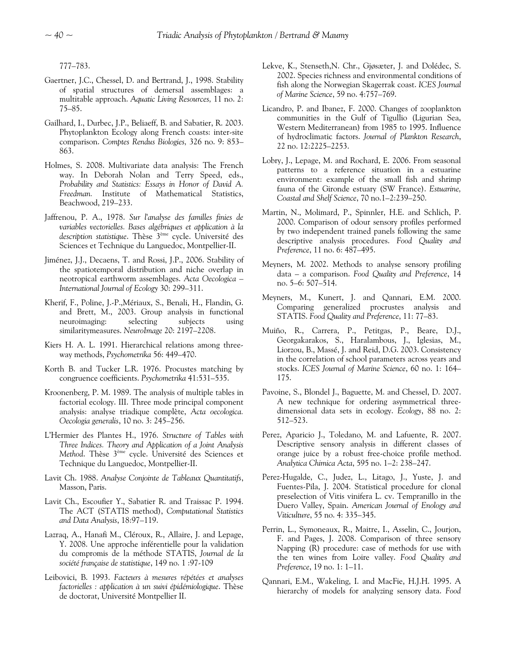777–783.

- Gaertner, J.C., Chessel, D. and Bertrand, J., 1998. Stability of spatial structures of demersal assemblages: a multitable approach. *Aquatic Living Resources,* 11 no. 2: 75–85.
- Gailhard, I., Durbec, J.P., Beliaeff, B. and Sabatier, R. 2003. Phytoplankton Ecology along French coasts: inter-site comparison. *Comptes Rendus Biologies,* 326 no. 9: 853– 863.
- Holmes, S. 2008. Multivariate data analysis: The French way. In Deborah Nolan and Terry Speed, eds., *Probability and Statistics: Essays in Honor of David A. Freedman.* Institute of Mathematical Statistics, Beachwood, 219–233.
- Jaffrenou, P. A., 1978. *Sur l'analyse des familles finies de variables vectorielles. Bases algébriques et application à la description statistique*. Thèse 3ème cycle. Université des Sciences et Technique du Languedoc, Montpellier-II.
- Jiménez, J.J., Decaens, T. and Rossi, J.P., 2006. Stability of the spatiotemporal distribution and niche overlap in neotropical earthworm assemblages. *Acta Oecologica – International Journal of Ecology* 30: 299–311.
- Kherif, F., Poline, J.-P.,Mériaux, S., Benali, H., Flandin, G. and Brett, M., 2003. Group analysis in functional neuroimaging: selecting subjects using similaritymeasures. *NeuroImage* 20: 2197–2208.
- Kiers H. A. L. 1991. Hierarchical relations among threeway methods, *Psychometrika* 56: 449–470.
- Korth B. and Tucker L.R. 1976. Procustes matching by congruence coefficients. *Psychometrika* 41:531–535.
- Kroonenberg, P. M. 1989. The analysis of multiple tables in factorial ecology. III. Three mode principal component analysis: analyse triadique complète, *Acta oecologica. Oecologia generalis*, 10 no. 3: 245–256.
- L'Hermier des Plantes H., 1976. *Structure of Tables with Three Indices. Theory and Application of a Joint Analysis Method*. Thèse 3ème cycle. Université des Sciences et Technique du Languedoc, Montpellier-II.
- Lavit Ch. 1988. *Analyse Conjointe de Tableaux Quantitatifs*, Masson, Paris.
- Lavit Ch., Escoufier Y., Sabatier R. and Traissac P. 1994. The ACT (STATIS method), *Computational Statistics and Data Analysis*, 18:97–119.
- Lazraq, A., Hanafi M., Cléroux, R., Allaire, J. and Lepage, Y. 2008. Une approche inférentielle pour la validation du compromis de la méthode STATIS, *Journal de la société française de statistique*, 149 no. 1 :97-109
- Leibovici, B. 1993. *Facteurs à mesures répétées et analyses factorielles : application à un suivi épidémiologique*. Thèse de doctorat, Université Montpellier II.
- Lekve, K., Stenseth,N. Chr., Gjøsæter, J. and Dolédec, S. 2002. Species richness and environmental conditions of fish along the Norwegian Skagerrak coast. *ICES Journal of Marine Science*, 59 no. 4:757–769.
- Licandro, P. and Ibanez, F. 2000. Changes of zooplankton communities in the Gulf of Tigullio (Ligurian Sea, Western Mediterranean) from 1985 to 1995. Influence of hydroclimatic factors. *Journal of Plankton Research*, 22 no. 12:2225–2253.
- Lobry, J., Lepage, M. and Rochard, E. 2006. From seasonal patterns to a reference situation in a estuarine environment: example of the small fish and shrimp fauna of the Gironde estuary (SW France). *Estuarine, Coastal and Shelf Science*, 70 no.1–2:239–250.
- Martin, N., Molimard, P., Spinnler, H.E. and Schlich, P. 2000. Comparison of odour sensory profiles performed by two independent trained panels following the same descriptive analysis procedures. *Food Quality and Preference*, 11 no. 6: 487–495.
- Meyners, M. 2002. Methods to analyse sensory profiling data – a comparison. *Food Quality and Preference*, 14 no. 5–6: 507–514.
- Meyners, M., Kunert, J. and Qannari, E.M. 2000. Comparing generalized procrustes analysis and STATIS. *Food Quality and Preference*, 11: 77–83.
- Muiño, R., Carrera, P., Petitgas, P., Beare, D.J., Georgakarakos, S., Haralambous, J., Iglesias, M., Liorzou, B., Massé, J. and Reid, D.G. 2003. Consistency in the correlation of school parameters across years and stocks. *ICES Journal of Marine Science*, 60 no. 1: 164– 175.
- Pavoine, S., Blondel J., Baguette, M. and Chessel, D. 2007. A new technique for ordering asymmetrical threedimensional data sets in ecology. *Ecology*, 88 no. 2: 512–523.
- Perez, Aparicio J., Toledano, M. and Lafuente, R. 2007. Descriptive sensory analysis in different classes of orange juice by a robust free-choice profile method. *Analytica Chimica Acta*, 595 no. 1–2: 238–247.
- Perez-Hugalde, C., Judez, L., Litago, J., Yuste, J. and Fuentes-Pila, J. 2004. Statistical procedure for clonal preselection of Vitis vinifera L. cv. Tempranillo in the Duero Valley, Spain. *American Journal of Enology and Viticulture*, 55 no. 4: 335–345.
- Perrin, L., Symoneaux, R., Maitre, I., Asselin, C., Jourjon, F. and Pages, J. 2008. Comparison of three sensory Napping (R) procedure: case of methods for use with the ten wines from Loire valley. *Food Quality and Preference*, 19 no. 1: 1–11.
- Qannari, E.M., Wakeling, I. and MacFie, H.J.H. 1995. A hierarchy of models for analyzing sensory data. *Food*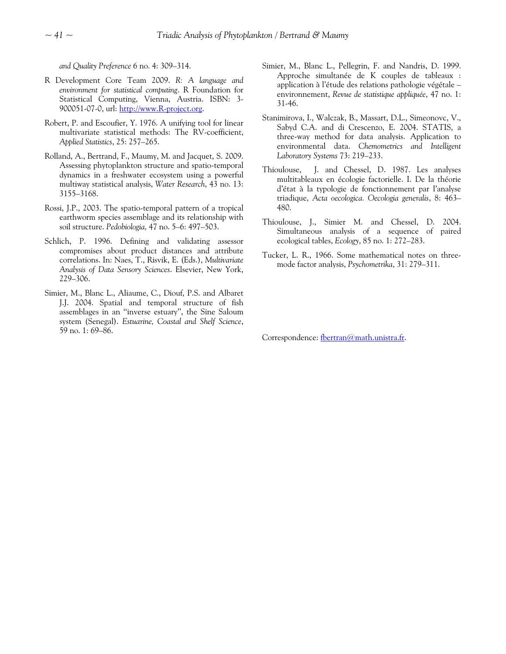*and Quality Preference* 6 no. 4: 309–314.

- R Development Core Team 2009. *R: A language and environment for statistical computing*. R Foundation for Statistical Computing, Vienna, Austria. ISBN: 3- 900051-07-0, url: [http://www.R-project.org.](http://www.r-project.org/)
- Robert, P. and Escoufier, Y. 1976. A unifying tool for linear multivariate statistical methods: The RV-coefficient, *Applied Statistics*, 25: 257–265.
- Rolland, A., Bertrand, F., Maumy, M. and Jacquet, S. 2009. Assessing phytoplankton structure and spatio-temporal dynamics in a freshwater ecosystem using a powerful multiway statistical analysis, *Water Research*, 43 no. 13: 3155–3168.
- Rossi, J.P., 2003. The spatio-temporal pattern of a tropical earthworm species assemblage and its relationship with soil structure. *Pedobiologia,* 47 no. 5–6: 497–503.
- Schlich, P. 1996. Defining and validating assessor compromises about product distances and attribute correlations. In: Naes, T., Risvik, E. (Eds.), *Multivariate Analysis of Data Sensory Sciences*. Elsevier, New York, 229–306.
- Simier, M., Blanc L., Aliaume, C., Diouf, P.S. and Albaret J.J. 2004. Spatial and temporal structure of fish assemblages in an ''inverse estuary'', the Sine Saloum system (Senegal). *Estuarine, Coastal and Shelf Science*, 59 no. 1: 69–86.
- Simier, M., Blanc L., Pellegrin, F. and Nandris, D. 1999. Approche simultanée de K couples de tableaux : application à l'étude des relations pathologie végétale – environnement, *Revue de statistique appliquée*, 47 no. 1: 31-46.
- Stanimirova, I., Walczak, B., Massart, D.L., Simeonovc, V., Sabyd C.A. and di Crescenzo, E. 2004. STATIS, a three-way method for data analysis. Application to environmental data. *Chemometrics and Intelligent Laboratory Systems* 73: 219–233.
- Thioulouse, J. and Chessel, D. 1987. Les analyses multitableaux en écologie factorielle. I. De la théorie d'état à la typologie de fonctionnement par l'analyse triadique, *Acta oecologica. Oecologia generalis*, 8: 463– 480.
- Thioulouse, J., Simier M. and Chessel, D. 2004. Simultaneous analysis of a sequence of paired ecological tables, *Ecology*, 85 no. 1: 272–283.
- Tucker, L. R., 1966. Some mathematical notes on threemode factor analysis, *Psychometrika*, 31: 279–311.

Correspondence: [fbertran@math.unistra.fr.](mailto:fbertran@math.unistra.fr)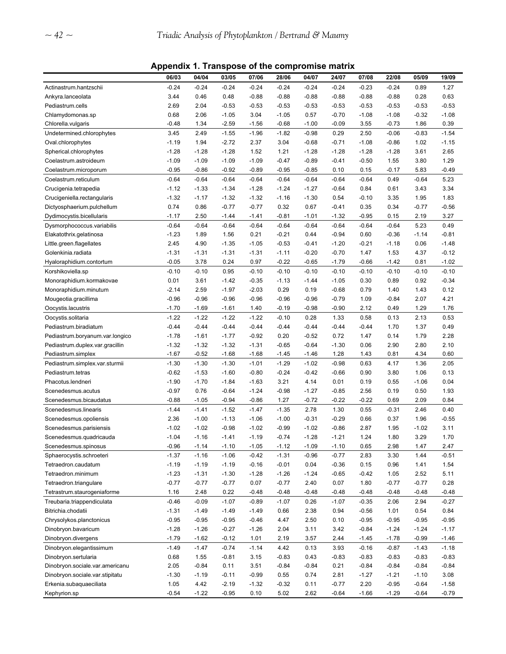**Appendix 1. Transpose of the compromise matrix** 

|                                 | 06/03   | 04/04   | 03/05   | 07/06   | 28/06   | 04/07   | 24/07   | 07/08   | 22/08   | 05/09   | 19/09   |
|---------------------------------|---------|---------|---------|---------|---------|---------|---------|---------|---------|---------|---------|
| Actinastrum.hantzschii          | $-0.24$ | $-0.24$ | $-0.24$ | $-0.24$ | $-0.24$ | $-0.24$ | $-0.24$ | $-0.23$ | $-0.24$ | 0.89    | 1.27    |
| Ankyra.lanceolata               | 3.44    | 0.46    | 0.48    | $-0.88$ | $-0.88$ | $-0.88$ | $-0.88$ | $-0.88$ | $-0.88$ | 0.28    | 0.63    |
| Pediastrum.cells                | 2.69    | 2.04    | $-0.53$ | $-0.53$ | $-0.53$ | $-0.53$ | $-0.53$ | $-0.53$ | $-0.53$ | $-0.53$ | $-0.53$ |
| Chlamydomonas.sp                | 0.68    | 2.06    | $-1.05$ | 3.04    | $-1.05$ | 0.57    | $-0.70$ | $-1.08$ | $-1.08$ | $-0.32$ | $-1.08$ |
| Chlorella.vulgaris              | $-0.48$ | 1.34    | $-2.59$ | $-1.56$ | $-0.68$ | $-1.00$ | $-0.09$ | 3.55    | $-0.73$ | 1.86    | 0.39    |
| Undetermined.chlorophytes       | 3.45    | 2.49    | $-1.55$ | $-1.96$ | $-1.82$ | $-0.98$ | 0.29    | 2.50    | $-0.06$ | $-0.83$ | $-1.54$ |
| Oval.chlorophytes               | $-1.19$ | 1.94    | $-2.72$ | 2.37    | 3.04    | $-0.68$ | $-0.71$ | $-1.08$ | $-0.86$ | 1.02    | $-1.15$ |
| Spherical.chlorophytes          | $-1.28$ | $-1.28$ | $-1.28$ | 1.52    | 1.21    | $-1.28$ | $-1.28$ | $-1.28$ | $-1.28$ | 3.61    | 2.65    |
| Coelastrum.astroideum           | $-1.09$ | $-1.09$ | $-1.09$ | $-1.09$ | $-0.47$ | $-0.89$ | $-0.41$ | $-0.50$ | 1.55    | 3.80    | 1.29    |
| Coelastrum.microporum           | $-0.95$ | $-0.86$ | $-0.92$ | $-0.89$ | $-0.95$ | $-0.85$ | 0.10    | 0.15    | $-0.17$ | 5.83    | $-0.49$ |
| Coelastrum.reticulum            | $-0.64$ | $-0.64$ | $-0.64$ | $-0.64$ | $-0.64$ | $-0.64$ | $-0.64$ | $-0.64$ | 0.49    | $-0.64$ | 5.23    |
| Crucigenia.tetrapedia           | $-1.12$ | $-1.33$ | $-1.34$ | $-1.28$ | $-1.24$ | $-1.27$ | $-0.64$ | 0.84    | 0.61    | 3.43    | 3.34    |
| Crucigeniella.rectangularis     | $-1.32$ | $-1.17$ | $-1.32$ | $-1.32$ | $-1.16$ | $-1.30$ | 0.54    | $-0.10$ | 3.35    | 1.95    | 1.83    |
| Dictyosphaerium.pulchellum      | 0.74    | 0.86    | $-0.77$ | $-0.77$ | 0.32    | 0.67    | $-0.41$ | 0.35    | 0.34    | $-0.77$ | $-0.56$ |
| Dydimocystis.bicellularis       | $-1.17$ | 2.50    | $-1.44$ | $-1.41$ | $-0.81$ | $-1.01$ | $-1.32$ | $-0.95$ | 0.15    | 2.19    | 3.27    |
| Dysmorphococcus.variabilis      | $-0.64$ | $-0.64$ | $-0.64$ | $-0.64$ | $-0.64$ | $-0.64$ | $-0.64$ | $-0.64$ | $-0.64$ | 5.23    | 0.49    |
| Elakatothrix.gelatinosa         | $-1.23$ | 1.89    | 1.56    | 0.21    | $-0.21$ | 0.44    | $-0.94$ | 0.60    | $-0.36$ | $-1.14$ | $-0.81$ |
| Little.green.flagellates        | 2.45    | 4.90    | $-1.35$ | $-1.05$ | $-0.53$ | $-0.41$ | $-1.20$ | $-0.21$ | $-1.18$ | 0.06    | $-1.48$ |
| Golenkinia.radiata              | $-1.31$ | $-1.31$ | $-1.31$ | $-1.31$ | $-1.11$ | $-0.20$ | $-0.70$ | 1.47    | 1.53    | 4.37    | $-0.12$ |
| Hyaloraphidium.contortum        | $-0.05$ | 3.78    | 0.24    | 0.97    | $-0.22$ | $-0.65$ | $-1.79$ | $-0.66$ | $-1.42$ | 0.81    | $-1.02$ |
| Korshikoviella.sp               | $-0.10$ | $-0.10$ | 0.95    | $-0.10$ | $-0.10$ | $-0.10$ | $-0.10$ | $-0.10$ | $-0.10$ | $-0.10$ | $-0.10$ |
| Monoraphidium.kormakovae        | 0.01    | 3.61    | $-1.42$ | $-0.35$ | $-1.13$ | $-1.44$ | $-1.05$ | 0.30    | 0.89    | 0.92    | $-0.34$ |
| Monoraphidium.minutum           | $-2.14$ | 2.59    | $-1.97$ | $-2.03$ | 0.29    | 0.19    | $-0.68$ | 0.79    | 1.40    | 1.43    | 0.12    |
| Mougeotia.gracillima            | $-0.96$ | $-0.96$ | $-0.96$ | $-0.96$ | $-0.96$ | $-0.96$ | $-0.79$ | 1.09    | $-0.84$ | 2.07    | 4.21    |
| Oocystis.lacustris              | $-1.70$ | $-1.69$ | $-1.61$ | 1.40    | $-0.19$ | $-0.98$ | $-0.90$ | 2.12    | 0.49    | 1.29    | 1.76    |
| Oocystis.solitaria              | $-1.22$ | $-1.22$ | $-1.22$ | $-1.22$ | $-0.10$ | 0.28    | 1.33    | 0.58    | 0.13    | 2.13    | 0.53    |
| Pediastrum.biradiatum           | $-0.44$ | $-0.44$ | $-0.44$ | $-0.44$ | $-0.44$ | $-0.44$ | $-0.44$ | $-0.44$ | 1.70    | 1.37    | 0.49    |
| Pediastrum.boryanum.var.longico | $-1.78$ | $-1.61$ | $-1.77$ | $-0.92$ | 0.20    | $-0.52$ | 0.72    | 1.47    | 0.14    | 1.79    | 2.28    |
| Pediastrum.duplex.var.gracillin | $-1.32$ | $-1.32$ | $-1.32$ | $-1.31$ | $-0.65$ | $-0.64$ | $-1.30$ | 0.06    | 2.90    | 2.80    | 2.10    |
| Pediastrum.simplex              | $-1.67$ | $-0.52$ | $-1.68$ | $-1.68$ | $-1.45$ | $-1.46$ | 1.28    | 1.43    | 0.81    | 4.34    | 0.60    |
| Pediastrum.simplex.var.sturmii  | $-1.30$ | $-1.30$ | $-1.30$ | $-1.01$ | $-1.29$ | $-1.02$ | $-0.98$ | 0.63    | 4.17    | 1.36    | 2.05    |
| Pediastrum.tetras               | $-0.62$ | $-1.53$ | $-1.60$ | $-0.80$ | $-0.24$ | $-0.42$ | $-0.66$ | 0.90    | 3.80    | 1.06    | 0.13    |
| Phacotus.lendneri               | $-1.90$ | $-1.70$ | $-1.84$ | $-1.63$ | 3.21    | 4.14    | 0.01    | 0.19    | 0.55    | $-1.06$ | 0.04    |
| Scenedesmus.acutus              | $-0.97$ | 0.76    | $-0.64$ | $-1.24$ | $-0.98$ | $-1.27$ | $-0.85$ | 2.56    | 0.19    | 0.50    | 1.93    |
| Scenedesmus.bicaudatus          | $-0.88$ | $-1.05$ | $-0.94$ | $-0.86$ | 1.27    | $-0.72$ | $-0.22$ | $-0.22$ | 0.69    | 2.09    | 0.84    |
| Scenedesmus.linearis            | $-1.44$ | $-1.41$ | $-1.52$ | $-1.47$ | $-1.35$ | 2.78    | 1.30    | 0.55    | $-0.31$ | 2.46    | 0.40    |
| Scenedesmus.opoliensis          | 2.36    | $-1.00$ | $-1.13$ | $-1.06$ | $-1.00$ | $-0.31$ | $-0.29$ | 0.66    | 0.37    | 1.96    | $-0.55$ |
| Scenedesmus.parisiensis         | $-1.02$ | $-1.02$ | $-0.98$ | $-1.02$ | $-0.99$ | $-1.02$ | $-0.86$ | 2.87    | 1.95    | $-1.02$ | 3.11    |
| Scenedesmus.quadricauda         | $-1.04$ | $-1.16$ | $-1.41$ | $-1.19$ | $-0.74$ | $-1.28$ | $-1.21$ | 1.24    | 1.80    | 3.29    | 1.70    |
| Scenedesmus.spinosus            | $-0.96$ | $-1.14$ | $-1.10$ | $-1.05$ | $-1.12$ | $-1.09$ | $-1.10$ | 0.65    | 2.98    | 1.47    | 2.47    |
| Sphaerocystis.schroeteri        | $-1.37$ | $-1.16$ | $-1.06$ | $-0.42$ | $-1.31$ | $-0.96$ | $-0.77$ | 2.83    | 3.30    | 1.44    | $-0.51$ |
| Tetraedron.caudatum             | $-1.19$ | $-1.19$ | $-1.19$ | $-0.16$ | $-0.01$ | 0.04    | $-0.36$ | 0.15    | 0.96    | 1.41    | 1.54    |
| Tetraedron.minimum              | $-1.23$ | $-1.31$ | $-1.30$ | $-1.28$ | $-1.26$ | $-1.24$ | $-0.65$ | -0.42   | 1.05    | 2.52    | 5.11    |
| Tetraedron.triangulare          | $-0.77$ | $-0.77$ | $-0.77$ | 0.07    | $-0.77$ | 2.40    | 0.07    | 1.80    | $-0.77$ | $-0.77$ | 0.28    |
| Tetrastrum.staurogeniaforme     | 1.16    | 2.48    | 0.22    | $-0.48$ | $-0.48$ | $-0.48$ | $-0.48$ | $-0.48$ | $-0.48$ | $-0.48$ | $-0.48$ |
| Treubaria.triappendiculata      | $-0.46$ | $-0.09$ | $-1.07$ | $-0.89$ | $-1.07$ | 0.26    | $-1.07$ | $-0.35$ | 2.06    | 2.94    | $-0.27$ |
| Bitrichia.chodatii              | $-1.31$ | $-1.49$ | $-1.49$ | $-1.49$ | 0.66    | 2.38    | 0.94    | $-0.56$ | 1.01    | 0.54    | 0.84    |
| Chrysolykos.planctonicus        | $-0.95$ | $-0.95$ | $-0.95$ | $-0.46$ | 4.47    | 2.50    | 0.10    | $-0.95$ | $-0.95$ | $-0.95$ | $-0.95$ |
| Dinobryon.bavaricum             | $-1.28$ | $-1.26$ | $-0.27$ | $-1.26$ | 2.04    | 3.11    | 3.42    | $-0.84$ | $-1.24$ | $-1.24$ | $-1.17$ |
| Dinobryon.divergens             | $-1.79$ | $-1.62$ | $-0.12$ | 1.01    | 2.19    | 3.57    | 2.44    | $-1.45$ | $-1.78$ | $-0.99$ | $-1.46$ |
| Dinobryon.elegantissimum        | $-1.49$ | $-1.47$ | $-0.74$ | $-1.14$ | 4.42    | 0.13    | 3.93    | $-0.16$ | $-0.87$ | $-1.43$ | $-1.18$ |
| Dinobryon.sertularia            | 0.68    | 1.55    | $-0.81$ | 3.15    | $-0.83$ | 0.43    | $-0.83$ | $-0.83$ | $-0.83$ | $-0.83$ | $-0.83$ |
| Dinobryon.sociale.var.americanu | 2.05    | $-0.84$ | 0.11    | 3.51    | $-0.84$ | $-0.84$ | 0.21    | $-0.84$ | $-0.84$ | $-0.84$ | $-0.84$ |
| Dinobryon.sociale.var.stipitatu | $-1.30$ | $-1.19$ | $-0.11$ | $-0.99$ | 0.55    | 0.74    | 2.81    | $-1.27$ | $-1.21$ | $-1.10$ | 3.08    |
| Erkenia.subaquaeciliata         | 1.05    | 4.42    | $-2.19$ | $-1.32$ | $-0.32$ | 0.11    | $-0.77$ | 2.20    | $-0.95$ | $-0.64$ | $-1.58$ |
| Kephyrion.sp                    | $-0.54$ | $-1.22$ | $-0.95$ | 0.10    | 5.02    | 2.62    | $-0.64$ | $-1.66$ | $-1.29$ | $-0.64$ | $-0.79$ |